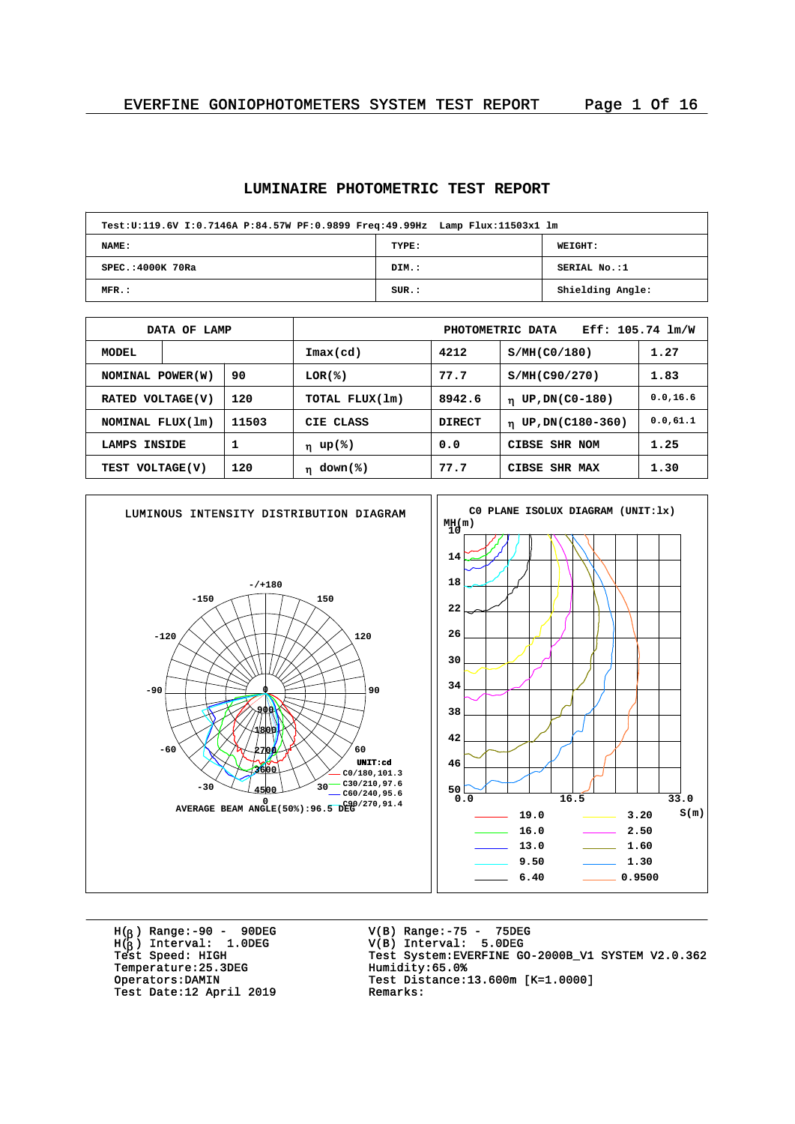#### **LUMINAIRE PHOTOMETRIC TEST REPORT**

| Test:U:119.6V I:0.7146A P:84.57W PF:0.9899 Freq:49.99Hz Lamp Flux:11503x1 lm |       |                  |  |  |  |  |  |  |  |  |
|------------------------------------------------------------------------------|-------|------------------|--|--|--|--|--|--|--|--|
| <b>NAME:</b>                                                                 | TYPE: | WEIGHT:          |  |  |  |  |  |  |  |  |
| SPEC.: 4000K 70Ra                                                            | DIM.: | SERIAL No.:1     |  |  |  |  |  |  |  |  |
| $MFR$ .:                                                                     | SUR.: | Shielding Angle: |  |  |  |  |  |  |  |  |

|                         | DATA OF LAMP |                        | Eff: 105.74 1m/W<br>PHOTOMETRIC DATA |               |                               |           |  |  |  |
|-------------------------|--------------|------------------------|--------------------------------------|---------------|-------------------------------|-----------|--|--|--|
| <b>MODEL</b>            |              |                        | $\texttt{Imax}(\text{cd})$           | 4212          | S/MH(C0/180)                  | 1.27      |  |  |  |
| 90<br>NOMINAL POWER(W)  |              | LOR(%)                 | 77.7                                 | S/MH(C90/270) | 1.83                          |           |  |  |  |
| 120<br>RATED VOLTAGE(V) |              |                        | TOTAL FLUX(1m)                       | 8942.6        | UP, DN(C0-180)<br>$\mathbf n$ | 0.0, 16.6 |  |  |  |
| NOMINAL FLUX(1m)        |              | 11503                  | CIE CLASS                            | <b>DIRECT</b> | $\eta$ UP, DN(C180-360)       | 0.0,61.1  |  |  |  |
| 1<br>INSIDE<br>LAMPS    |              |                        | η up(%)                              | 0.0           | CIBSE SHR NOM                 | 1.25      |  |  |  |
| 120<br>TEST VOLTAGE(V)  |              | down(%)<br>$\mathbf n$ | 77.7                                 | CIBSE SHR MAX | 1.30                          |           |  |  |  |



H( ) Range:-90 - 90DEG H( ) Interval: 1.0DEG V(B) Range:-75 - 75DEG V(B) Interval: 5.0DEG <sup>b</sup> Temperature: 25.3DEG<br>Operators: DAMIN Test Date:12 April 2019

Test System: EVERFINE GO-2000B\_V1 SYSTEM V2.0.362<br>Humidity:65.0% Test Distance:13.600m [K=1.0000]<br>Remarks: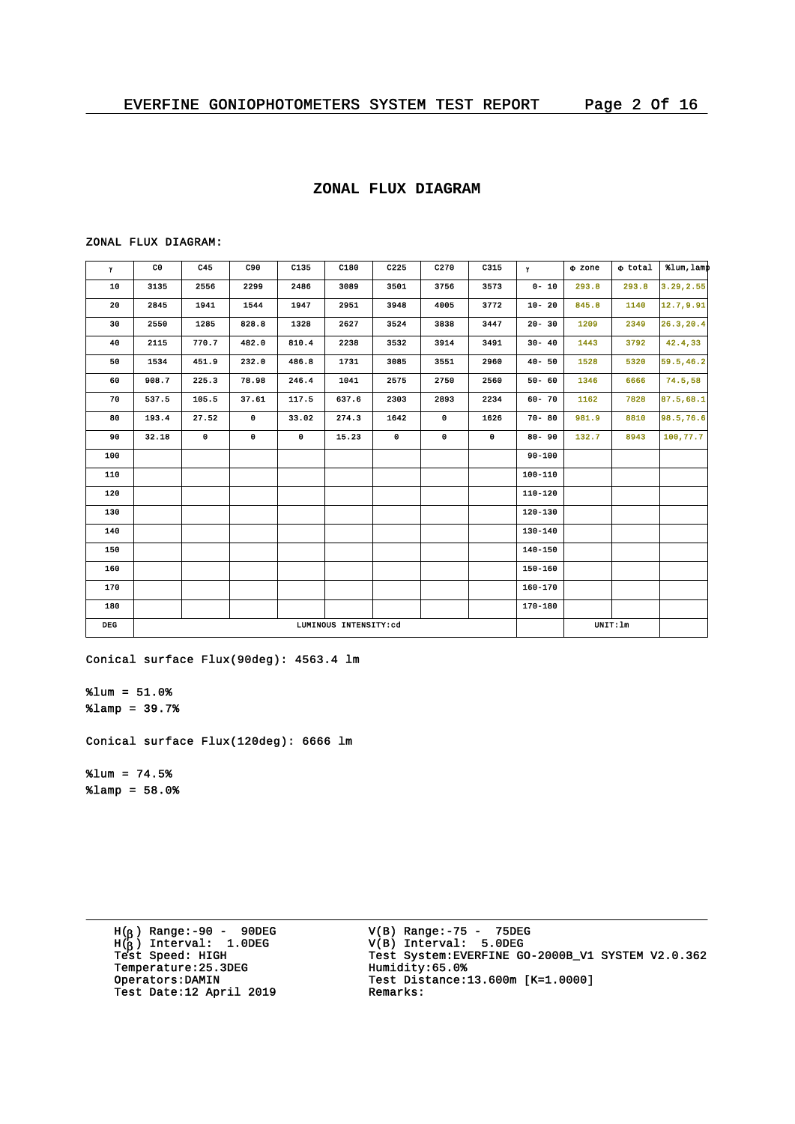#### **ZONAL FLUX DIAGRAM**

#### ZONAL FLUX DIAGRAM:

| Y          | C <sub>0</sub> | C45                   | C90       | C135        | C180  | C225        | C <sub>270</sub> | C315        | $\mathbf{Y}$ | o zone | $\Phi$ total | %lum, lamp |
|------------|----------------|-----------------------|-----------|-------------|-------|-------------|------------------|-------------|--------------|--------|--------------|------------|
| ${\bf 10}$ | 3135           | 2556                  | 2299      | 2486        | 3089  | 3501        | 3756             | 3573        | $0 - 10$     | 293.8  | 293.8        | 3.29, 2.55 |
| 20         | 2845           | 1941                  | 1544      | 1947        | 2951  | 3948        | 4005             | 3772        | $10 - 20$    | 845.8  | 1140         | 12.7, 9.91 |
| 30         | 2550           | 1285                  | 828.8     | 1328        | 2627  | 3524        | 3838             | 3447        | $20 - 30$    | 1209   | 2349         | 26.3, 20.4 |
| 40         | 2115           | 770.7                 | 482.0     | 810.4       | 2238  | 3532        | 3914             | 3491        | $30 - 40$    | 1443   | 3792         | 42.4,33    |
| 50         | 1534           | 451.9                 | 232.0     | 486.8       | 1731  | 3085        | 3551             | 2960        | $40 - 50$    | 1528   | 5320         | 59.5, 46.2 |
| 60         | 908.7          | 225.3                 | 78.98     | 246.4       | 1041  | 2575        | 2750             | 2560        | $50 - 60$    | 1346   | 6666         | 74.5,58    |
| 70         | 537.5          | 105.5                 | 37.61     | 117.5       | 637.6 | 2303        | 2893             | 2234        | $60 - 70$    | 1162   | 7828         | 87.5, 68.1 |
| 80         | 193.4          | 27.52                 | $\bullet$ | 33.02       | 274.3 | 1642        | $\mathbf 0$      | 1626        | $70 - 80$    | 981.9  | 8810         | 98.5, 76.6 |
| 90         | 32.18          | $\mathbf 0$           | 0         | $\mathbf 0$ | 15.23 | $\mathbf 0$ | $\mathbf 0$      | $\mathbf 0$ | $80 - 90$    | 132.7  | 8943         | 100, 77.7  |
| 100        |                |                       |           |             |       |             |                  |             | $90 - 100$   |        |              |            |
| 110        |                |                       |           |             |       |             |                  |             | 100-110      |        |              |            |
| 120        |                |                       |           |             |       |             |                  |             | $110 - 120$  |        |              |            |
| 130        |                |                       |           |             |       |             |                  |             | 120-130      |        |              |            |
| 140        |                |                       |           |             |       |             |                  |             | $130 - 140$  |        |              |            |
| 150        |                |                       |           |             |       |             |                  |             | 140-150      |        |              |            |
| 160        |                |                       |           |             |       |             |                  |             | 150-160      |        |              |            |
| 170        |                |                       |           |             |       |             |                  |             | $160 - 170$  |        |              |            |
| 180        |                |                       |           |             |       |             |                  |             | 170-180      |        |              |            |
| <b>DEG</b> |                | LUMINOUS INTENSITY:cd |           |             |       |             |                  |             |              |        | UNIT: 1m     |            |

Conical surface Flux(90deg): 4563.4 lm

%lum = 51.0%  $\text{\$lamp = 39.7\%}$ 

Conical surface Flux(120deg): 6666 lm

 $\text{Sum} = 74.5\%$  $\text{\$lamp = 58.0\%}$ 

> H( ) Range:-90 - 90DEG H( ) Interval: 1.0DEG Temperature: 25.3DEG<br>Operators: DAMIN Test Date:12 April 2019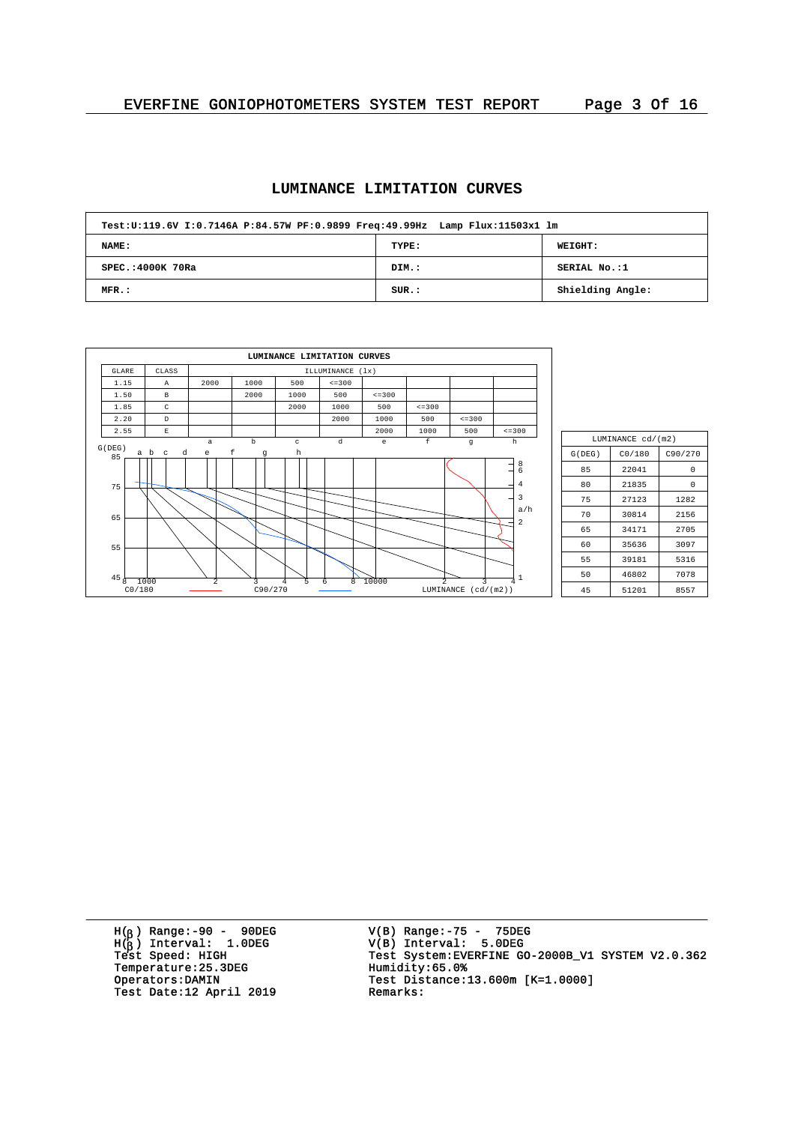# **LUMINANCE LIMITATION CURVES**

| Test:U:119.6V I:0.7146A P:84.57W PF:0.9899 Freq:49.99Hz Lamp Flux:11503x1 lm |       |                  |  |  |  |  |  |  |  |  |
|------------------------------------------------------------------------------|-------|------------------|--|--|--|--|--|--|--|--|
| <b>NAME:</b>                                                                 | TYPE: | <b>WEIGHT:</b>   |  |  |  |  |  |  |  |  |
| SPEC.: 4000K 70Ra                                                            | DIM.: | SERIAL No.:1     |  |  |  |  |  |  |  |  |
| MFR.:                                                                        | SUR.: | Shielding Angle: |  |  |  |  |  |  |  |  |

|                      |                          |                           |            | LUMINANCE LIMITATION CURVES |              |              |                |              |                                                       |  |  |  |
|----------------------|--------------------------|---------------------------|------------|-----------------------------|--------------|--------------|----------------|--------------|-------------------------------------------------------|--|--|--|
| GLARE                | CLASS                    | ILLUMINANCE (1x)          |            |                             |              |              |                |              |                                                       |  |  |  |
| 1.15                 | $\mathbb{A}$             | 2000                      | 1000       | 500                         | $\leq$ = 300 |              |                |              |                                                       |  |  |  |
| 1.50                 | В                        |                           | 2000       | 1000                        | 500          | $\leq$ = 300 |                |              |                                                       |  |  |  |
| 1.85                 | C                        |                           |            | 2000                        | 1000         | 500          | $\leq$ = 300   |              |                                                       |  |  |  |
| 2.20                 | D                        |                           |            |                             | 2000         | 1000         | 500            | $\leq$ = 300 |                                                       |  |  |  |
| 2.55                 | $\mathbb E$              |                           |            |                             |              | 2000         | 1000           | 500          | $\leq$ = 300                                          |  |  |  |
| G(DEG)               |                          | $\mathsf{a}$              | $_{\rm b}$ | $\rm ^c$                    | ${\rm d}$    | e            | $\mathbf f$    | $\mathbf{g}$ | h                                                     |  |  |  |
| 85<br>75<br>65<br>55 | a b<br>d<br>$\mathbf{C}$ | $\mathbf f$<br>$\epsilon$ | g          | $\,$ h                      |              |              |                |              | $\frac{8}{6}$<br>-<br>4<br>3<br>a/h<br>$\overline{a}$ |  |  |  |
| 45<br>$\overline{8}$ | 1000                     | $\overline{2}$            | 3          | 5<br>$\overline{4}$         | 8<br>6       | 10000        | $\mathfrak{D}$ | ς            | 1<br>4                                                |  |  |  |
| CO/180               |                          |                           | C90/270    |                             |              |              | LUMINANCE      | (cd/(m2))    |                                                       |  |  |  |

|        | LUMINANCE cd/(m2) |         |  |  |
|--------|-------------------|---------|--|--|
| G(DEG) | CO/180            | C90/270 |  |  |
| 85     | 22041             | 0       |  |  |
| 80     | 21835             | 0       |  |  |
| 75     | 27123             | 1282    |  |  |
| 70     | 30814             | 2156    |  |  |
| 65     | 34171             | 2705    |  |  |
| 60     | 35636             | 3097    |  |  |
| 55     | 39181             | 5316    |  |  |
| 50     | 46802             | 7078    |  |  |
| 45     | 51201             | 8557    |  |  |

H( ) Range:-90 - 90DEG H( ) Interval: 1.0DEG Temperature:25.3DEG Humidity:65.0%<br>Operators:DAMIN Test Distance: Test Date:12 April 2019

V(B) Range:-75 - 75DEG V(B) Interval: 5.0DEG <sup>b</sup> <sup>b</sup> Test Speed: HIGH Test System:EVERFINE GO-2000B\_V1 SYSTEM V2.0.362 Test Distance:13.600m [K=1.0000]<br>Remarks: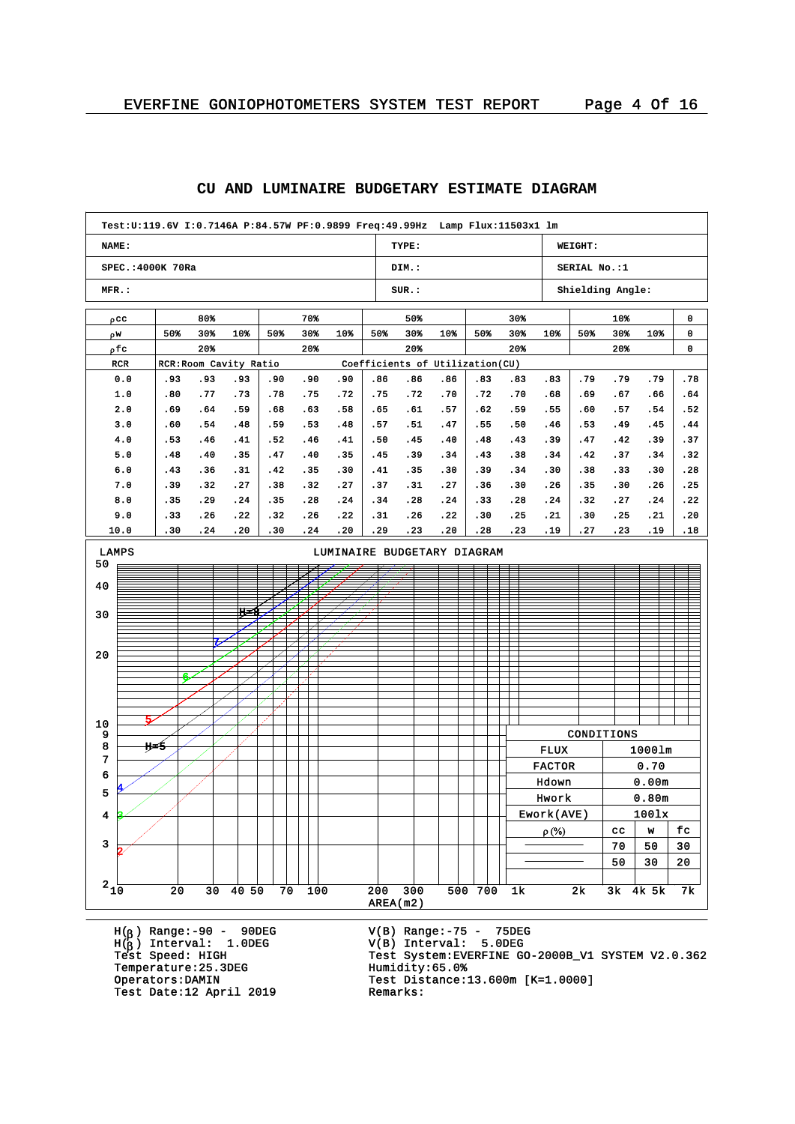#### **NAME: SPEC.:4000K 70Ra MFR.: TYPE: DIM.: SUR.: WEIGHT: SERIAL No.:1 Shielding Angle: Test:U:119.6V I:0.7146A P:84.57W PF:0.9899 Freq:49.99Hz Lamp Flux:11503x1 lm** pcc w r pfc RCR RCR:Room Cavity Ratio Coefficients of Utilization(CU) 80% 50% 30% 10% 20% 70% 50% 30% 10% 20% 50% 50% 30% 10% 20% 30% 50% 30% 10% 20% 10% 50% 30% 10% 20% 0 0 0 0.0 1.0 2.0 3.0 4.0 5.0 6.0 7.0 8.0 9.0 10.0 .93 .80 .69 .60 .53 .48 .43 .39 .35 .33 .30 .93 .77 .64 .54 .46 .40 .36 .32 .29 .26 .24 .93 .73 .59 .48 .41 .35 .31 .27 .24 .22 .20 .90 .78 .68 .59 .52 .47 .42 .38 .35 .32 .30 .90 .75 .63 .53 .46 .40 .35 .32 .28 .26 .24 .90 .72 .58 .48 .41 .35 .30 .27 .24 .22 .20 .86 .75 .65 .57 .50 .45 .41 .37 .34 .31 .29 .86 .72 .61 .51 .45 .39 .35 .31 .28 .26 .23 .86 .70 .57 .47 .40 .34 .30 .27 .24 .22 .20 .83 .72 .62 .55 .48 .43 .39 .36 .33 .30 .28 .83 .70 .59 .50 .43 .38 .34 .30 .28 .25 .23 .83 .68 .55 .46 .39 .34 .30 .26 .24 .21 .19 .79 .69 .60 .53 .47 .42 .38 .35 .32 .30 .27 .79 .67 .57 .49 .42 .37 .33 .30 .27 .25 .23 .79 .66 .54 .45 .39 .34 .30 .26 .24 .21 .19 .78 .64 .52 .44 .37 .32 .28 .25 .22 .20 .18 AREA(m2)  $2\frac{1}{10}$  20 30 40 50 70 100 200 300 500 700 1k 2k 3k 4k 5k 7k 3 4 5 6 7 8 9 10 20 30 40 50 LAMPS LUMINAIRE BUDGETARY DIAGRAM 2 3 4 H=5 5 6 7. H=8 CONDITIONS FLUX 1000lm FACTOR 0.70 Hdown 0.00m Hwork 0.80m Ework(AVE) 100lx  $\rho$  (%)  $\vert$  cc  $\vert$  w  $\vert$  fc  $70$  50 30  $50 \mid 30 \mid 20$

**CU AND LUMINAIRE BUDGETARY ESTIMATE DIAGRAM**

H( ) Range:-90 - 90DEG H( ) Interval: 1.0DEG Temperature: 25.3DEG Test Date:12 April 2019

V(B) Range:-75 - 75DEG V(B) Interval: 5.0DEG <sup>b</sup> Test System: EVERFINE GO-2000B\_V1 SYSTEM V2.0.362<br>Humidity:65.0% Operators:DAMIN Test Distance:13.600m [K=1.0000]<br>Test Date:12 April 2019 Remarks: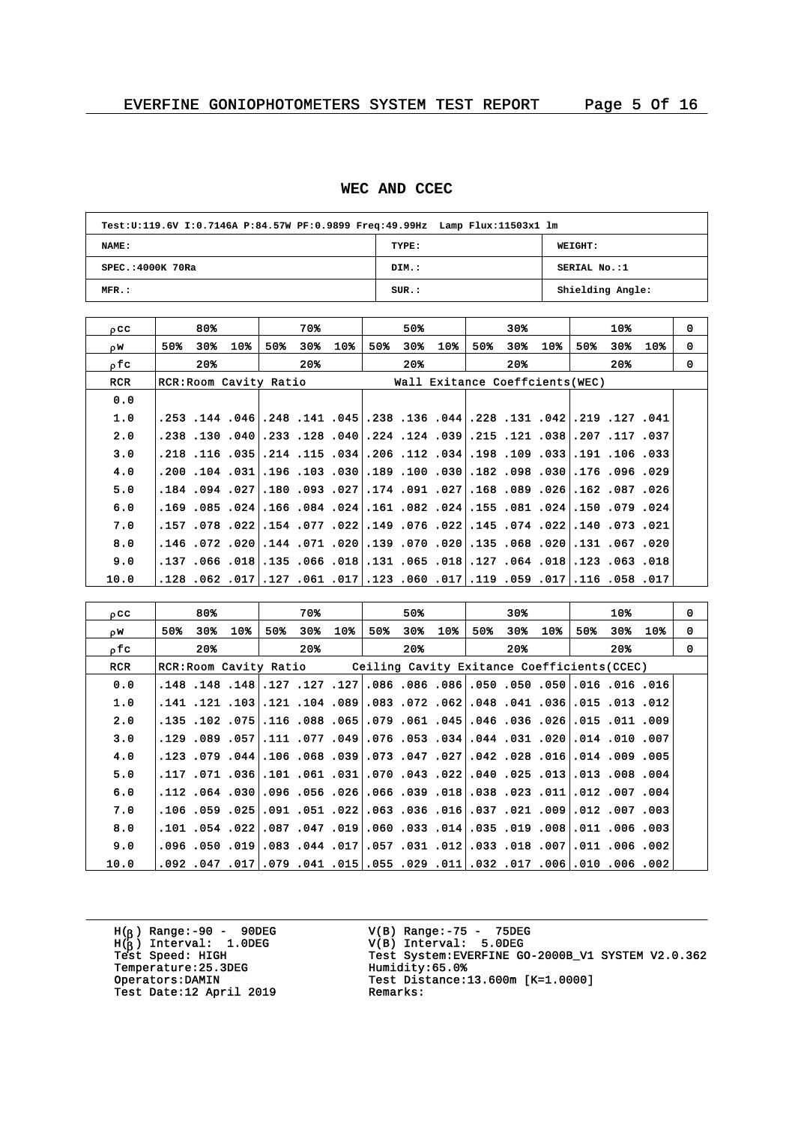#### **WEC AND CCEC**

| Test:U:119.6V I:0.7146A P:84.57W PF:0.9899 Freq:49.99Hz Lamp Flux:11503x1 lm |       |                  |  |  |  |  |  |  |  |  |
|------------------------------------------------------------------------------|-------|------------------|--|--|--|--|--|--|--|--|
| NAME:                                                                        | TYPE: | WEIGHT:          |  |  |  |  |  |  |  |  |
| SPEC.: 4000K 70Ra                                                            | DIM.: | SERIAL No.:1     |  |  |  |  |  |  |  |  |
| MFR.:                                                                        | SUR.: | Shielding Angle: |  |  |  |  |  |  |  |  |

|              |                     | 30%                             | 10%               | $\Omega$                                                                                                                                                                                                                                                                                                                                                                                                                                                                                                                                                                                                                                                                                                                                                                                                                                                                             |
|--------------|---------------------|---------------------------------|-------------------|--------------------------------------------------------------------------------------------------------------------------------------------------------------------------------------------------------------------------------------------------------------------------------------------------------------------------------------------------------------------------------------------------------------------------------------------------------------------------------------------------------------------------------------------------------------------------------------------------------------------------------------------------------------------------------------------------------------------------------------------------------------------------------------------------------------------------------------------------------------------------------------|
| $10*$<br>50% | $10*$               | $30*$<br>10%                    | 50%<br>30%<br>10% | 0                                                                                                                                                                                                                                                                                                                                                                                                                                                                                                                                                                                                                                                                                                                                                                                                                                                                                    |
|              |                     | 20%                             | 20%               | $\Omega$                                                                                                                                                                                                                                                                                                                                                                                                                                                                                                                                                                                                                                                                                                                                                                                                                                                                             |
|              |                     |                                 |                   |                                                                                                                                                                                                                                                                                                                                                                                                                                                                                                                                                                                                                                                                                                                                                                                                                                                                                      |
|              |                     |                                 |                   |                                                                                                                                                                                                                                                                                                                                                                                                                                                                                                                                                                                                                                                                                                                                                                                                                                                                                      |
|              |                     |                                 |                   |                                                                                                                                                                                                                                                                                                                                                                                                                                                                                                                                                                                                                                                                                                                                                                                                                                                                                      |
|              |                     |                                 |                   |                                                                                                                                                                                                                                                                                                                                                                                                                                                                                                                                                                                                                                                                                                                                                                                                                                                                                      |
|              |                     |                                 |                   |                                                                                                                                                                                                                                                                                                                                                                                                                                                                                                                                                                                                                                                                                                                                                                                                                                                                                      |
|              |                     |                                 |                   |                                                                                                                                                                                                                                                                                                                                                                                                                                                                                                                                                                                                                                                                                                                                                                                                                                                                                      |
|              |                     |                                 |                   |                                                                                                                                                                                                                                                                                                                                                                                                                                                                                                                                                                                                                                                                                                                                                                                                                                                                                      |
|              |                     |                                 |                   |                                                                                                                                                                                                                                                                                                                                                                                                                                                                                                                                                                                                                                                                                                                                                                                                                                                                                      |
|              |                     |                                 |                   |                                                                                                                                                                                                                                                                                                                                                                                                                                                                                                                                                                                                                                                                                                                                                                                                                                                                                      |
|              |                     |                                 |                   |                                                                                                                                                                                                                                                                                                                                                                                                                                                                                                                                                                                                                                                                                                                                                                                                                                                                                      |
|              |                     |                                 |                   |                                                                                                                                                                                                                                                                                                                                                                                                                                                                                                                                                                                                                                                                                                                                                                                                                                                                                      |
|              |                     |                                 |                   |                                                                                                                                                                                                                                                                                                                                                                                                                                                                                                                                                                                                                                                                                                                                                                                                                                                                                      |
|              | 70%<br>30%<br>$20*$ | 50%<br>30 <sub>8</sub><br>$20*$ | 50%               | Wall Exitance Coeffcients (WEC)<br>041. 127. 129. [240. 131. 228.  244. 136. 138.  140. 141. 148.  146. 144. 253.<br>037. 117. 207.  38. 121. 125. 39. 124. 124. 124. 128. 128. 233. 40. 130. 138.<br>.210. 106. 109. 109. 109. 109. 109. 112. 106. 208. 115. 114. 108. 116. 218. 218.<br>.209. 096. 176. 030. 098. 182. 030. 100. 189. 030. 103. 104. 104. 031. 200.<br> 260. 187. 162.  266. 168. 168.  27. 191.  27.  27. 193. 109. 108.  27. 194. 184.<br>.160. 079. 150. 24 .150. 081. 155. 082. 081. 081. 084. 084. 165. 084. 085. 169.<br>.021. 073. 074. 022. 074. 075. 022. 076. 019. 022. 077. 022. 022. 078. 057. 157.<br>020. 067. 051. 068. 068. 051. 070. 070. 079. 091. 020. 144. 020. 072. 046.<br>018. 063. 123.  108. 064. 127.  108. 105. 131.  108. 066. 155.  108. 066. 137.<br> 117. 058. 116.  117. 059. 119. 1060. 107. 123.  117. 106. 117.  107. 108. 128. |

| occ        |                                                                    | 80%   |     |     | 70%                                                                                  |                 |     | 50% |       |     | 30%   |     |     | 10%   |         | 0        |
|------------|--------------------------------------------------------------------|-------|-----|-----|--------------------------------------------------------------------------------------|-----------------|-----|-----|-------|-----|-------|-----|-----|-------|---------|----------|
| DW.        | 50%                                                                | 30%   | 10% | 50% | 30%                                                                                  | 10 <sub>8</sub> | 50% | 30% | $10*$ | 50% | 30%   | 10% | 50% |       | 30% 10% | 0        |
| ofc        |                                                                    | $20*$ |     |     | $20*$                                                                                |                 |     | 20% |       |     | $20*$ |     |     | $20*$ |         | $\Omega$ |
| <b>RCR</b> | RCR: Room Cavity Ratio Ceiling Cavity Exitance Coefficients (CCEC) |       |     |     |                                                                                      |                 |     |     |       |     |       |     |     |       |         |          |
| 0.0        |                                                                    |       |     |     | .16. 16. 16. 1050. 1050. 1050. 106. 1086. 1086. 127. 127. 127. 148. 148. 148.        |                 |     |     |       |     |       |     |     |       |         |          |
| 1.0        |                                                                    |       |     |     | .121. 013. 015. 036. 041. 048. 052. 072. 083. 089. 014. 121. 121. 141. 141.          |                 |     |     |       |     |       |     |     |       |         |          |
| 2.0        |                                                                    |       |     |     | .009. 111. 105. 1051. 1066. 145. 161. 1079. 1061. 1068. 1066. 1075. 102. 103. 103    |                 |     |     |       |     |       |     |     |       |         |          |
| 3.0        |                                                                    |       |     |     | 007. 101. 010. 020. 031. 044. 044. 053. 076. 049. 049. 011. 077. 049. 049. 019. 129. |                 |     |     |       |     |       |     |     |       |         |          |
| 4.0        |                                                                    |       |     |     | 005. 009. 121. 016. 028. 042. 027. 047. 073. 059. 058. 064. 044. 079. 079. 123.      |                 |     |     |       |     |       |     |     |       |         |          |
| 5.0        |                                                                    |       |     |     | .004. 008. 1101.  113. 221. 040.  222. 043. 070.  311. 051. 051.  366. 171. 117.     |                 |     |     |       |     |       |     |     |       |         |          |
| 6.0        |                                                                    |       |     |     | .004. 007. 112.  110. 230. 038. 181. 039039036. 056. 056. 030. 112. 112.             |                 |     |     |       |     |       |     |     |       |         |          |
| 7.0        |                                                                    |       |     |     | .001. 007. 012. 009. 021. 037. 037. 016. 036. 012. 051. 051. 051. 051. 016.          |                 |     |     |       |     |       |     |     |       |         |          |
| 8.0        |                                                                    |       |     |     | .001.000.110.1800.019.035.101.035.014.035.101.035.002.101.054.022.087                |                 |     |     |       |     |       |     |     |       |         |          |
| 9.0        |                                                                    |       |     |     |                                                                                      |                 |     |     |       |     |       |     |     |       |         |          |
| 10.0       |                                                                    |       |     |     | 002. 006. 010. 006. 1079. 032. 011. 029. 055. 015. 011. 041. 019. 047. 047. 092.     |                 |     |     |       |     |       |     |     |       |         |          |

H( ) Range:-90 - 90DEG H( ) Interval: 1.0DEG V(B) Range:-75 - 75DEG V(B) Interval: 5.0DEG <sup>b</sup> Temperature:25.3DEG Humidity:65.0%<br>Operators:DAMIN Test Distance: Test Date:12 April 2019

<sup>b</sup> Test Speed: HIGH Test System:EVERFINE GO-2000B\_V1 SYSTEM V2.0.362 Test Distance:13.600m [K=1.0000]<br>Remarks: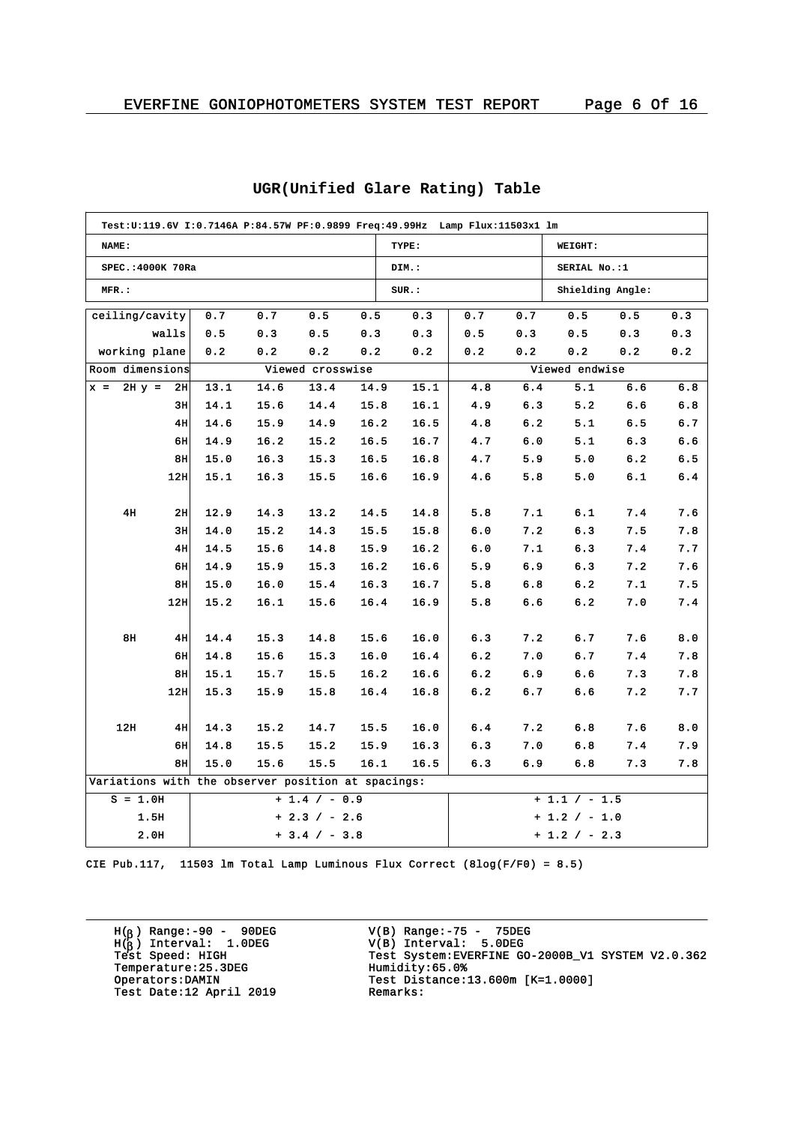| Test:U:119.6V I:0.7146A P:84.57W PF:0.9899 Freq:49.99Hz Lamp Flux:11503x1 lm |               |                   |                                                    |      |                  |      |       |     |     |                  |     |     |  |
|------------------------------------------------------------------------------|---------------|-------------------|----------------------------------------------------|------|------------------|------|-------|-----|-----|------------------|-----|-----|--|
| NAME:                                                                        |               |                   |                                                    |      |                  |      | TYPE: |     |     | WEIGHT:          |     |     |  |
|                                                                              |               | SPEC.: 4000K 70Ra |                                                    |      |                  |      | DIM.: |     |     | SERIAL No.:1     |     |     |  |
| MFR.:                                                                        |               |                   |                                                    |      |                  |      | SUR.: |     |     | Shielding Angle: |     |     |  |
| ceiling/cavity                                                               |               |                   | 0.7                                                | 0.7  | 0.5              | 0.5  | 0.3   | 0.7 | 0.7 | 0.5              | 0.5 | 0.3 |  |
|                                                                              |               | walls             | 0.5                                                | 0.3  | 0.5              | 0.3  | 0.3   | 0.5 | 0.3 | 0.5              | 0.3 | 0.3 |  |
|                                                                              | working plane |                   | 0.2                                                | 0.2  | 0.2              | 0.2  | 0.2   | 0.2 | 0.2 | 0.2              | 0.2 | 0.2 |  |
| Room dimensions                                                              |               |                   |                                                    |      | Viewed crosswise |      |       |     |     | Viewed endwise   |     |     |  |
| $x =$                                                                        | $2H y =$      | 2H                | 13.1                                               | 14.6 | 13.4             | 14.9 | 15.1  | 4.8 | 6.4 | 5.1              | 6.6 | 6.8 |  |
|                                                                              |               | 3H                | 14.1                                               | 15.6 | 14.4             | 15.8 | 16.1  | 4.9 | 6.3 | 5.2              | 6.6 | 6.8 |  |
|                                                                              |               | 4H                | 14.6                                               | 15.9 | 14.9             | 16.2 | 16.5  | 4.8 | 6.2 | 5.1              | 6.5 | 6.7 |  |
|                                                                              |               | 6H                | 14.9                                               | 16.2 | 15.2             | 16.5 | 16.7  | 4.7 | 6.0 | 5.1              | 6.3 | 6.6 |  |
|                                                                              |               | 8H                | 15.0                                               | 16.3 | 15.3             | 16.5 | 16.8  | 4.7 | 5.9 | 5.0              | 6.2 | 6.5 |  |
|                                                                              |               | 12H               | 15.1                                               | 16.3 | 15.5             | 16.6 | 16.9  | 4.6 | 5.8 | 5.0              | 6.1 | 6.4 |  |
|                                                                              |               |                   |                                                    |      |                  |      |       |     |     |                  |     |     |  |
|                                                                              | 4H            | 2H                | 12.9                                               | 14.3 | 13.2             | 14.5 | 14.8  | 5.8 | 7.1 | 6.1              | 7.4 | 7.6 |  |
|                                                                              |               | 3H                | 14.0                                               | 15.2 | 14.3             | 15.5 | 15.8  | 6.0 | 7.2 | 6.3              | 7.5 | 7.8 |  |
|                                                                              |               | 4H                | 14.5                                               | 15.6 | 14.8             | 15.9 | 16.2  | 6.0 | 7.1 | 6.3              | 7.4 | 7.7 |  |
|                                                                              |               | 6H                | 14.9                                               | 15.9 | 15.3             | 16.2 | 16.6  | 5.9 | 6.9 | 6.3              | 7.2 | 7.6 |  |
|                                                                              |               | 8H                | 15.0                                               | 16.0 | 15.4             | 16.3 | 16.7  | 5.8 | 6.8 | 6.2              | 7.1 | 7.5 |  |
|                                                                              |               | 12H               | 15.2                                               | 16.1 | 15.6             | 16.4 | 16.9  | 5.8 | 6.6 | 6.2              | 7.0 | 7.4 |  |
|                                                                              |               |                   |                                                    |      |                  |      |       |     |     |                  |     |     |  |
|                                                                              | 8H            | 4H                | 14.4                                               | 15.3 | 14.8             | 15.6 | 16.0  | 6.3 | 7.2 | 6.7              | 7.6 | 8.0 |  |
|                                                                              |               | 6H                | 14.8                                               | 15.6 | 15.3             | 16.0 | 16.4  | 6.2 | 7.0 | 6.7              | 7.4 | 7.8 |  |
|                                                                              |               | 8H                | 15.1                                               | 15.7 | 15.5             | 16.2 | 16.6  | 6.2 | 6.9 | 6.6              | 7.3 | 7.8 |  |
|                                                                              |               | 12H               | 15.3                                               | 15.9 | 15.8             | 16.4 | 16.8  | 6.2 | 6.7 | 6.6              | 7.2 | 7.7 |  |
|                                                                              |               |                   |                                                    |      |                  |      |       |     |     |                  |     |     |  |
|                                                                              | 12H           | 4H                | 14.3                                               | 15.2 | 14.7             | 15.5 | 16.0  | 6.4 | 7.2 | 6.8              | 7.6 | 8.0 |  |
|                                                                              |               | 6H                | 14.8                                               | 15.5 | 15.2             | 15.9 | 16.3  | 6.3 | 7.0 | 6.8              | 7.4 | 7.9 |  |
|                                                                              |               | 8H                | 15.0                                               | 15.6 | 15.5             | 16.1 | 16.5  | 6.3 | 6.9 | 6.8              | 7.3 | 7.8 |  |
|                                                                              |               |                   | Variations with the observer position at spacings: |      |                  |      |       |     |     |                  |     |     |  |
|                                                                              | $S = 1.0H$    |                   |                                                    |      | $+1.4 / -0.9$    |      |       |     |     | $+1.1 / -1.5$    |     |     |  |
|                                                                              | 1.5H          |                   |                                                    |      | $+2.3 / -2.6$    |      |       |     |     | $+1.2$ / $-1.0$  |     |     |  |
|                                                                              | 2.0H          |                   |                                                    |      | $+3.4 / - 3.8$   |      |       |     |     | $+1.2 / - 2.3$   |     |     |  |

# **UGR(Unified Glare Rating) Table**

CIE Pub.117, 11503 lm Total Lamp Luminous Flux Correct (8log(F/F0) = 8.5)

H( ) Range:-90 - 90DEG H( ) Interval: 1.0DEG Temperature: 25.3DEG<br>Operators:DAMIN Test Date:12 April 2019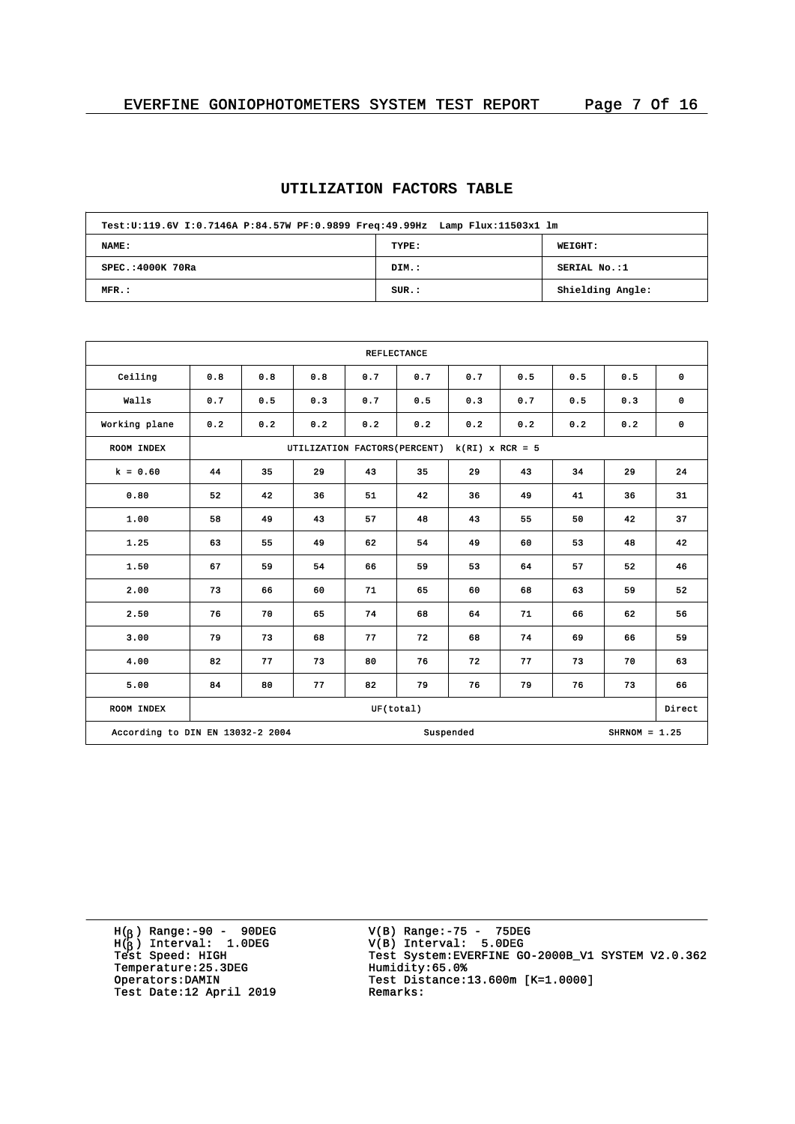# **UTILIZATION FACTORS TABLE**

| Test:U:119.6V I:0.7146A P:84.57W PF:0.9899 Freq:49.99Hz Lamp Flux:11503x1 lm |       |                  |  |  |  |  |  |  |  |
|------------------------------------------------------------------------------|-------|------------------|--|--|--|--|--|--|--|
| NAME:                                                                        | TYPE: | WEIGHT:          |  |  |  |  |  |  |  |
| SPEC.: 4000K 70Ra                                                            | DIM.: | SERIAL No.:1     |  |  |  |  |  |  |  |
| MFR.:                                                                        | SUR.: | Shielding Angle: |  |  |  |  |  |  |  |

|                                  | <b>REFLECTANCE</b> |                                                    |     |     |           |           |     |     |                 |             |  |  |
|----------------------------------|--------------------|----------------------------------------------------|-----|-----|-----------|-----------|-----|-----|-----------------|-------------|--|--|
| Ceiling                          | 0.8                | 0.8                                                | 0.8 | 0.7 | 0.7       | 0.7       | 0.5 | 0.5 | 0.5             | $\mathbf 0$ |  |  |
| Walls                            | 0.7                | 0.5                                                | 0.3 | 0.7 | 0.5       | 0.3       | 0.7 | 0.5 | 0.3             | $\mathbf 0$ |  |  |
| Working plane                    | 0.2                | 0.2                                                | 0.2 | 0.2 | 0.2       | 0.2       | 0.2 | 0.2 | 0.2             | $\mathbf 0$ |  |  |
| ROOM INDEX                       |                    | $k(RI)$ x RCR = 5<br>UTILIZATION FACTORS (PERCENT) |     |     |           |           |     |     |                 |             |  |  |
| $k = 0.60$                       | 44                 | 35                                                 | 29  | 43  | 35        | 29        | 43  | 34  | 29              | 24          |  |  |
| 0.80                             | 52                 | 42                                                 | 36  | 51  | 42        | 36        | 49  | 41  | 36              | 31          |  |  |
| 1.00                             | 58                 | 49                                                 | 43  | 57  | 48        | 43        | 55  | 50  | 42              | 37          |  |  |
| 1.25                             | 63                 | 55                                                 | 49  | 62  | 54        | 49        | 60  | 53  | 48              | 42          |  |  |
| 1.50                             | 67                 | 59                                                 | 54  | 66  | 59        | 53        | 64  | 57  | 52              | 46          |  |  |
| 2.00                             | 73                 | 66                                                 | 60  | 71  | 65        | 60        | 68  | 63  | 59              | 52          |  |  |
| 2.50                             | 76                 | 70                                                 | 65  | 74  | 68        | 64        | 71  | 66  | 62              | 56          |  |  |
| 3.00                             | 79                 | 73                                                 | 68  | 77  | 72        | 68        | 74  | 69  | 66              | 59          |  |  |
| 4.00                             | 82                 | 77                                                 | 73  | 80  | 76        | 72        | 77  | 73  | 70              | 63          |  |  |
| 5.00                             | 84                 | 80                                                 | 77  | 82  | 79        | 76        | 79  | 76  | 73              | 66          |  |  |
| ROOM INDEX                       |                    |                                                    |     |     | UF(total) |           |     |     |                 | Direct      |  |  |
| According to DIN EN 13032-2 2004 |                    |                                                    |     |     |           | Suspended |     |     | $SHRNOM = 1.25$ |             |  |  |

H( ) Range:-90 - 90DEG H( ) Interval: 1.0DEG Temperature:25.3DEG Humidity:65.0%<br>Operators:DAMIN Test Distance: Test Date:12 April 2019

V(B) Range:-75 - 75DEG V(B) Interval: 5.0DEG <sup>b</sup> <sup>b</sup> Test Speed: HIGH Test System:EVERFINE GO-2000B\_V1 SYSTEM V2.0.362 Test Distance:13.600m [K=1.0000]<br>Remarks: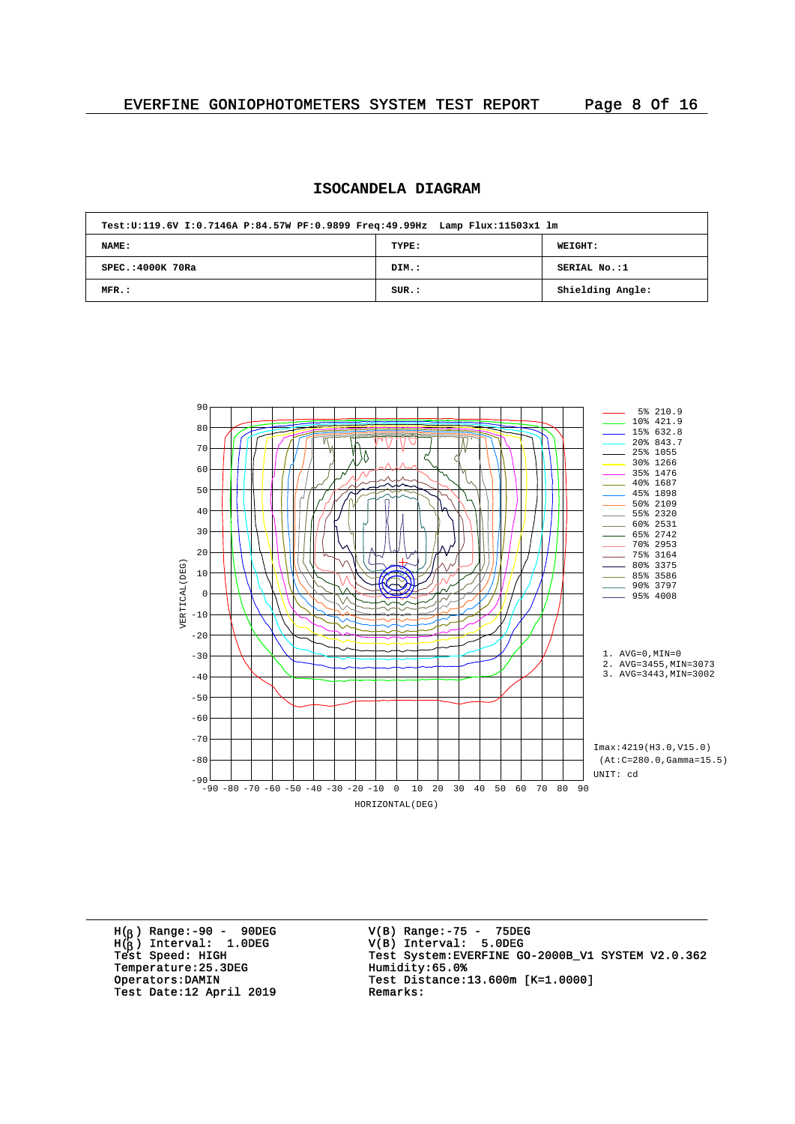# **ISOCANDELA DIAGRAM**

| Test:U:119.6V I:0.7146A P:84.57W PF:0.9899 Freq:49.99Hz Lamp Flux:11503x1 lm |       |                  |
|------------------------------------------------------------------------------|-------|------------------|
| NAME:                                                                        | TYPE: | WEIGHT:          |
| $SPEC. : 4000K$ 70Ra                                                         | DIM.: | SERIAL No.:1     |
| $MFR$ .:                                                                     | SUR.: | Shielding Angle: |



H( ) Range:-90 - 90DEG H( ) Interval: 1.0DEG Temperature: 25.3DEG<br>Operators:DAMIN Test Date:12 April 2019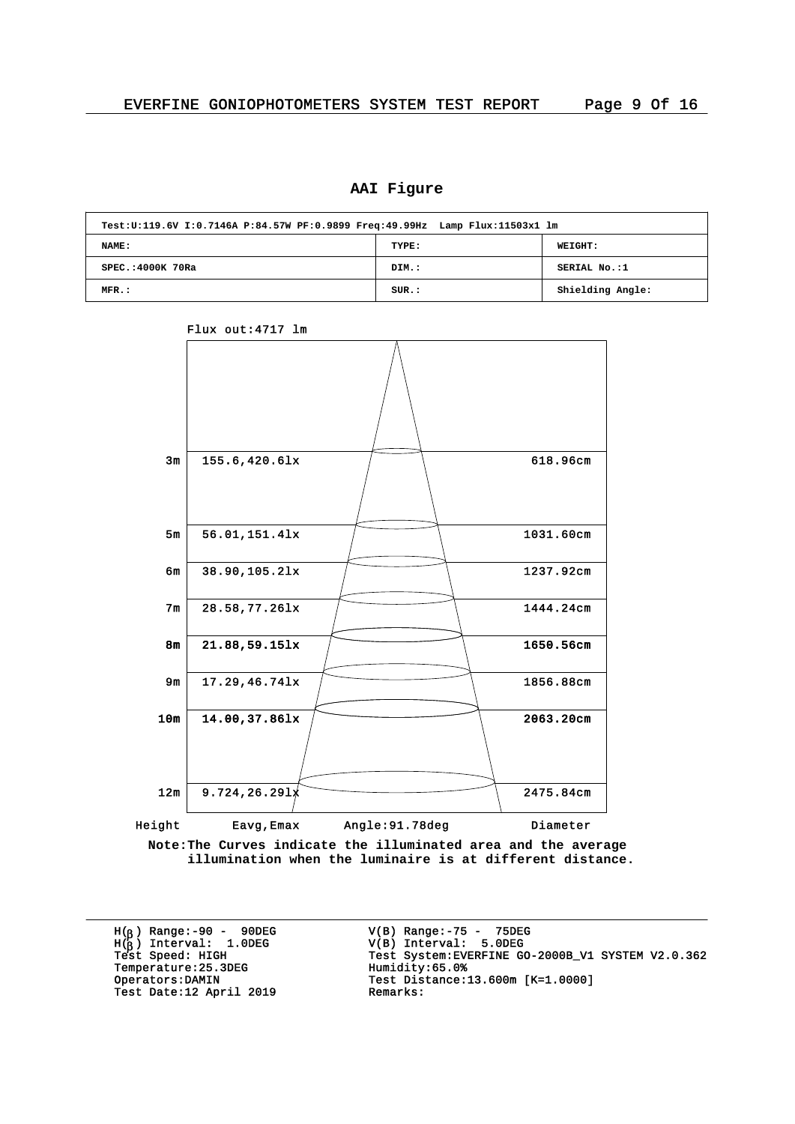#### **AAI Figure**

| Test:U:119.6V I:0.7146A P:84.57W PF:0.9899 Freq:49.99Hz Lamp Flux:11503x1 lm |       |                  |
|------------------------------------------------------------------------------|-------|------------------|
| NAME:                                                                        | TYPE: | WEIGHT:          |
| SPEC.: 4000K 70Ra                                                            | DIM.: | SERIAL No.:1     |
| MFR.:                                                                        | SUR.: | Shielding Angle: |

 $3m$  155.6,420.6lx  $\sqrt{618.96cm}$ 5m 56.01,151.4lx 1031.60cm 8m 21.88,59.15lx 1650.56cm 10m 14.00,37.861x 2063.20cm  $12m$  9.724,26.291 $\chi$  2475.84cm  $6m$  38.90,105.2lx 1237.92cm 7m 28.58.77.261x 1444.24cm 9m 17.29,46.741x <del>1856.88cm</del> 1856.88cm Height Eavg, Emax Angle: 91.78deg Diameter

**Note:The Curves indicate the illuminated area and the average illumination when the luminaire is at different distance.**

H( ) Range:-90 - 90DEG H( ) Interval: 1.0DEG Temperature: 25.3DEG<br>Operators:DAMIN Test Date:12 April 2019

Flux out:4717 lm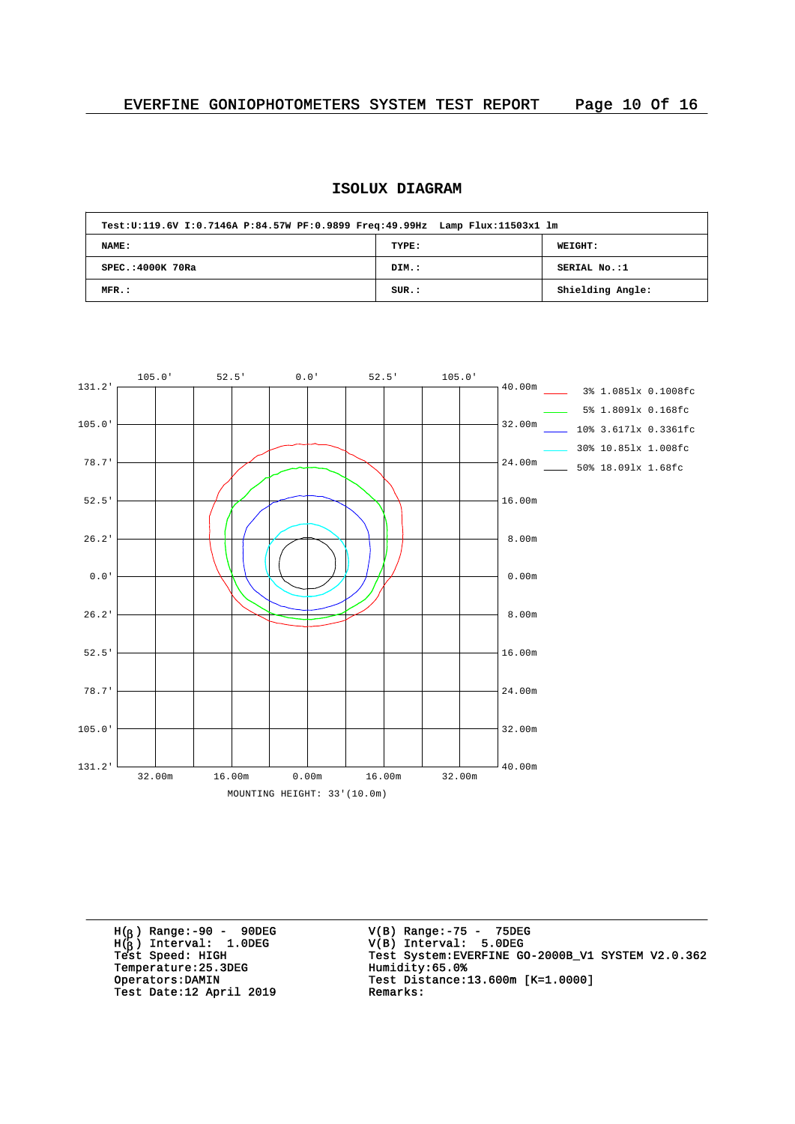# **ISOLUX DIAGRAM**

| Test:U:119.6V I:0.7146A P:84.57W PF:0.9899 Freq:49.99Hz Lamp Flux:11503x1 lm |       |                  |
|------------------------------------------------------------------------------|-------|------------------|
| NAME:                                                                        | TYPE: | <b>WEIGHT:</b>   |
| SPEC.: 4000K 70Ra                                                            | DIM.: | SERIAL No.:1     |
| $MFR$ .:                                                                     | SUR.: | Shielding Angle: |



H( ) Range:-90 - 90DEG H( ) Interval: 1.0DEG Temperature: 25.3DEG<br>Operators: DAMIN Test Date:12 April 2019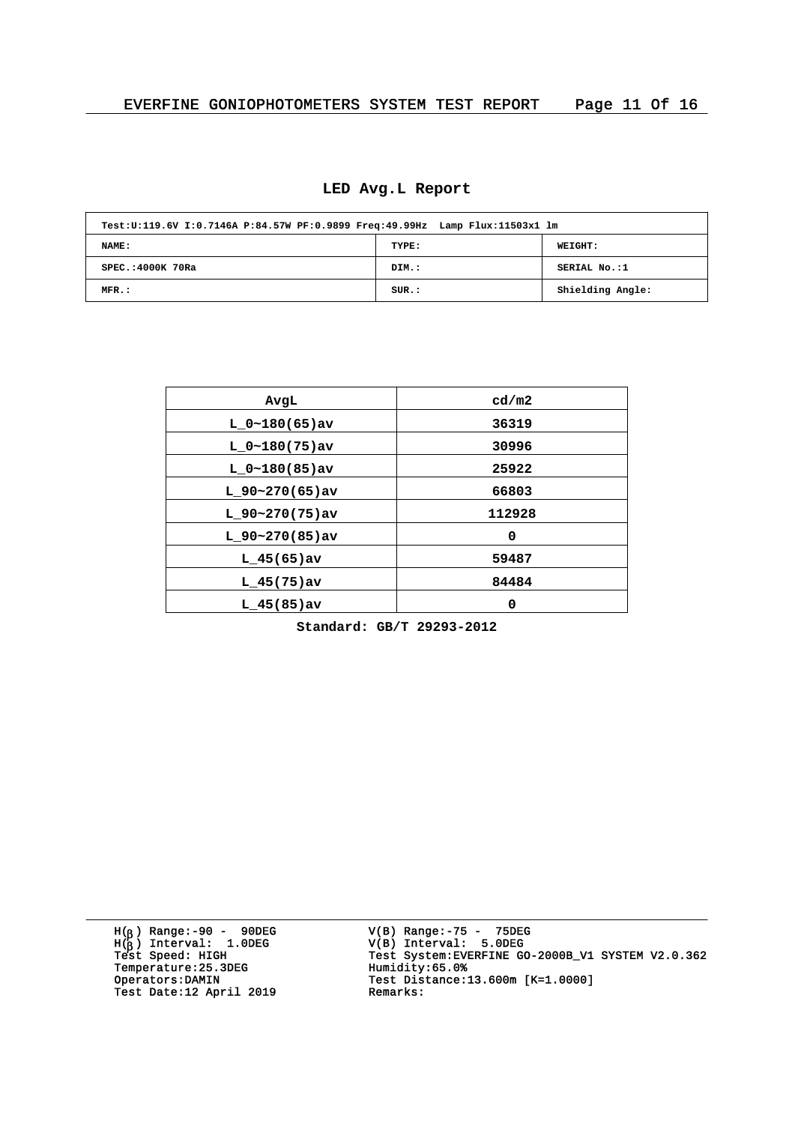| Test:U:119.6V I:0.7146A P:84.57W PF:0.9899 Freq:49.99Hz Lamp Flux:11503x1 lm |       |                  |
|------------------------------------------------------------------------------|-------|------------------|
| NAME:                                                                        | TYPE: | <b>WEIGHT:</b>   |
| SPEC.: 4000K 70Ra                                                            | DIM.: | SERIAL No.:1     |
| $MFR$ .:                                                                     | SUR.: | Shielding Angle: |

| AvgL             | cd/m2  |
|------------------|--------|
| $L 0~180(65)$ av | 36319  |
| $L 0~180(75)$ av | 30996  |
| $L 0~180(85)$ av | 25922  |
| $L$ 90~270(65)av | 66803  |
| $L$ 90~270(75)av | 112928 |
| $L$ 90~270(85)av | 0      |
| $L_{145(65)av}$  | 59487  |
| $L$ 45(75) av    | 84484  |
| $L$ 45(85) av    | 0      |

**Standard: GB/T 29293-2012**

H( ) Range:-90 - 90DEG H( ) Interval: 1.0DEG Temperature: 25.3DEG<br>Operators:DAMIN Test Date:12 April 2019 Remarks:

V(B) Range:-75 - 75DEG V(B) Interval: 5.0DEG <sup>b</sup> <sup>b</sup> Test Speed: HIGH Test System:EVERFINE GO-2000B\_V1 SYSTEM V2.0.362 Operators:DAMIN Test Distance:13.600m [K=1.0000]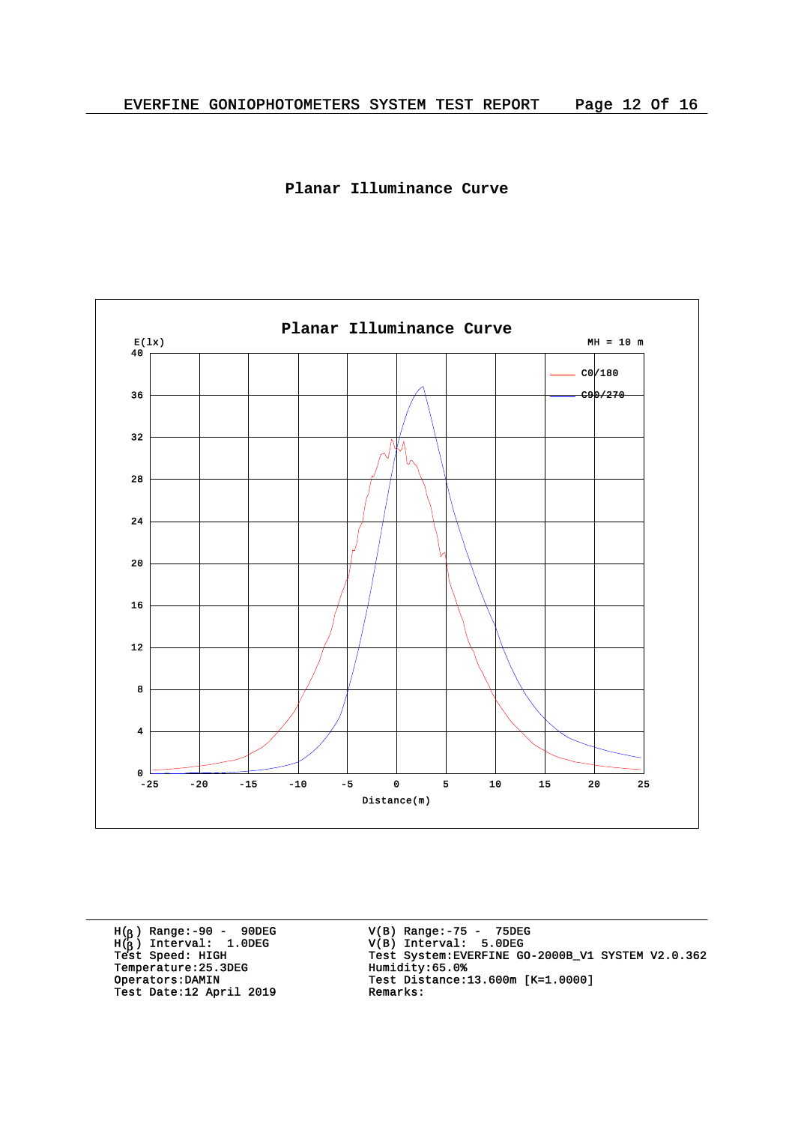



H( ) Range:-90 - 90DEG H( ) Interval: 1.0DEG Temperature: 25.3DEG<br>Operators: DAMIN Test Date:12 April 2019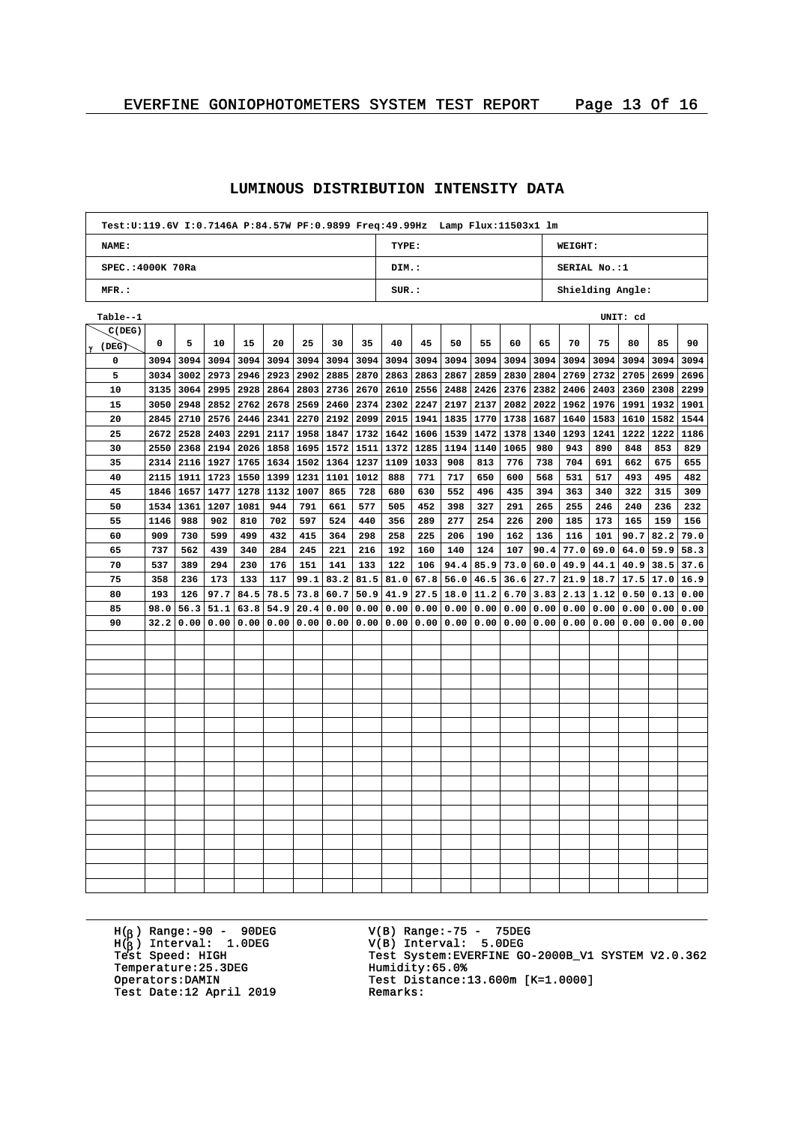| Test: U:119.6V I: 0.7146A P: 84.57W PF: 0.9899 Freq: 49.99Hz Lamp Flux: 11503x1 lm |      |      |      |      |      |      |           |      |                           |      |      |      |      |      |                      |           |      |      |      |  |
|------------------------------------------------------------------------------------|------|------|------|------|------|------|-----------|------|---------------------------|------|------|------|------|------|----------------------|-----------|------|------|------|--|
| NAME:                                                                              |      |      |      |      |      |      |           |      | TYPE:                     |      |      |      |      |      | WEIGHT:              |           |      |      |      |  |
| SPEC.: 4000K 70Ra                                                                  |      |      |      |      |      |      |           |      | DIM.:                     |      |      |      |      |      | SERIAL No.:1         |           |      |      |      |  |
| MFR.:                                                                              |      |      |      |      |      |      |           |      | SUR.:<br>Shielding Angle: |      |      |      |      |      |                      |           |      |      |      |  |
| Table--1                                                                           |      |      |      |      |      |      |           |      | UNIT: cd                  |      |      |      |      |      |                      |           |      |      |      |  |
| C(DEG)                                                                             |      |      |      |      |      |      |           |      |                           |      |      |      |      |      |                      |           |      |      |      |  |
| $\gamma$ (DEG)                                                                     | 0    | 5    | 10   | 15   | 20   | 25   | 30        | 35   | 40                        | 45   | 50   | 55   | 60   | 65   | 70                   | 75        | 80   | 85   | 90   |  |
| 0                                                                                  | 3094 | 3094 | 3094 | 3094 | 3094 | 3094 | 3094      | 3094 | 3094                      | 3094 | 3094 | 3094 | 3094 | 3094 | 3094                 | 3094      | 3094 | 3094 | 3094 |  |
| 5                                                                                  | 3034 | 3002 | 2973 | 2946 | 2923 | 2902 | 2885      | 2870 | 2863                      | 2863 | 2867 | 2859 | 2830 | 2804 | 2769                 | 2732      | 2705 | 2699 | 2696 |  |
| 10                                                                                 | 3135 | 3064 | 2995 | 2928 | 2864 | 2803 | 2736      | 2670 | 2610                      | 2556 | 2488 | 2426 | 2376 | 2382 | 2406                 | 2403      | 2360 | 2308 | 2299 |  |
| 15                                                                                 | 3050 | 2948 | 2852 | 2762 | 2678 | 2569 | 2460      | 2374 | 2302                      | 2247 | 2197 | 2137 | 2082 |      | 2022 1962            | 1976 1991 |      | 1932 | 1901 |  |
| 20                                                                                 | 2845 | 2710 | 2576 | 2446 | 2341 | 2270 | 2192      | 2099 | 2015                      | 1941 | 1835 | 1770 | 1738 |      | 1687 1640            | 1583 1610 |      | 1582 | 1544 |  |
| 25                                                                                 | 2672 | 2528 | 2403 | 2291 | 2117 | 1958 | 1847      | 1732 | 1642                      | 1606 | 1539 | 1472 | 1378 | 1340 | 1293                 | 1241      | 1222 | 1222 | 1186 |  |
| 30                                                                                 | 2550 | 2368 | 2194 | 2026 | 1858 | 1695 | 1572      | 1511 | 1372                      | 1285 | 1194 | 1140 | 1065 | 980  | 943                  | 890       | 848  | 853  | 829  |  |
| 35                                                                                 | 2314 | 2116 | 1927 | 1765 | 1634 | 1502 | 1364      | 1237 | 1109                      | 1033 | 908  | 813  | 776  | 738  | 704                  | 691       | 662  | 675  | 655  |  |
| 40                                                                                 | 2115 | 1911 | 1723 | 1550 | 1399 | 1231 | 1101      | 1012 | 888                       | 771  | 717  | 650  | 600  | 568  | 531                  | 517       | 493  | 495  | 482  |  |
| 45                                                                                 | 1846 | 1657 | 1477 | 1278 | 1132 | 1007 | 865       | 728  | 680                       | 630  | 552  | 496  | 435  | 394  | 363                  | 340       | 322  | 315  | 309  |  |
| 50                                                                                 | 1534 | 1361 | 1207 | 1081 | 944  | 791  | 661       | 577  | 505                       | 452  | 398  | 327  | 291  | 265  | 255                  | 246       | 240  | 236  | 232  |  |
| 55                                                                                 | 1146 | 988  | 902  | 810  | 702  | 597  | 524       | 440  | 356                       | 289  | 277  | 254  | 226  | 200  | 185                  | 173       | 165  | 159  | 156  |  |
| 60                                                                                 | 909  | 730  | 599  | 499  | 432  | 415  | 364       | 298  | 258                       | 225  | 206  | 190  | 162  | 136  | 116                  | 101       | 90.7 | 82.2 | 79.0 |  |
| 65                                                                                 | 737  | 562  | 439  | 340  | 284  | 245  | 221       | 216  | 192                       | 160  | 140  | 124  | 107  | 90.4 | 77.0                 | 69.0      | 64.0 | 59.9 | 58.3 |  |
| 70                                                                                 | 537  | 389  | 294  | 230  | 176  | 151  | 141       | 133  | 122                       | 106  | 94.4 | 85.9 | 73.0 | 60.0 | 49.9                 | 44.1      | 40.9 | 38.5 | 37.6 |  |
| 75                                                                                 | 358  | 236  | 173  | 133  | 117  | 99.1 | 83.2      | 81.5 | 81.0                      | 67.8 | 56.0 | 46.5 | 36.6 | 27.7 | 21.9                 | 18.7      | 17.5 | 17.0 | 16.9 |  |
| 80                                                                                 | 193  | 126  | 97.7 | 84.5 | 78.5 | 73.8 | 60.7      | 50.9 | 41.9                      | 27.5 | 18.0 | 11.2 | 6.70 |      | $3.83$   2.13   1.12 |           | 0.50 | 0.13 | 0.00 |  |
| 85                                                                                 | 98.0 | 56.3 | 51.1 | 63.8 | 54.9 | 20.4 | 0.00      | 0.00 | 0.00                      | 0.00 | 0.00 | 0.00 | 0.00 |      | 0.00   0.00          | 0.00      | 0.00 | 0.00 | 0.00 |  |
| 90                                                                                 | 32.2 | 0.00 | 0.00 | 0.00 | 0.00 |      | 0.00 0.00 | 0.00 | 0.00                      | 0.00 | 0.00 | 0.00 | 0.00 |      | 0.00   0.00   0.00   |           | 0.00 | 0.00 | 0.00 |  |
|                                                                                    |      |      |      |      |      |      |           |      |                           |      |      |      |      |      |                      |           |      |      |      |  |
|                                                                                    |      |      |      |      |      |      |           |      |                           |      |      |      |      |      |                      |           |      |      |      |  |
|                                                                                    |      |      |      |      |      |      |           |      |                           |      |      |      |      |      |                      |           |      |      |      |  |
|                                                                                    |      |      |      |      |      |      |           |      |                           |      |      |      |      |      |                      |           |      |      |      |  |
|                                                                                    |      |      |      |      |      |      |           |      |                           |      |      |      |      |      |                      |           |      |      |      |  |
|                                                                                    |      |      |      |      |      |      |           |      |                           |      |      |      |      |      |                      |           |      |      |      |  |
|                                                                                    |      |      |      |      |      |      |           |      |                           |      |      |      |      |      |                      |           |      |      |      |  |
|                                                                                    |      |      |      |      |      |      |           |      |                           |      |      |      |      |      |                      |           |      |      |      |  |
|                                                                                    |      |      |      |      |      |      |           |      |                           |      |      |      |      |      |                      |           |      |      |      |  |
|                                                                                    |      |      |      |      |      |      |           |      |                           |      |      |      |      |      |                      |           |      |      |      |  |
|                                                                                    |      |      |      |      |      |      |           |      |                           |      |      |      |      |      |                      |           |      |      |      |  |
|                                                                                    |      |      |      |      |      |      |           |      |                           |      |      |      |      |      |                      |           |      |      |      |  |
|                                                                                    |      |      |      |      |      |      |           |      |                           |      |      |      |      |      |                      |           |      |      |      |  |
|                                                                                    |      |      |      |      |      |      |           |      |                           |      |      |      |      |      |                      |           |      |      |      |  |
|                                                                                    |      |      |      |      |      |      |           |      |                           |      |      |      |      |      |                      |           |      |      |      |  |
|                                                                                    |      |      |      |      |      |      |           |      |                           |      |      |      |      |      |                      |           |      |      |      |  |
|                                                                                    |      |      |      |      |      |      |           |      |                           |      |      |      |      |      |                      |           |      |      |      |  |
|                                                                                    |      |      |      |      |      |      |           |      |                           |      |      |      |      |      |                      |           |      |      |      |  |

### **LUMINOUS DISTRIBUTION INTENSITY DATA**

H( ) Range:-90 - 90DEG H( ) Interval: 1.0DEG Temperature: 25.3DEG<br>Operators: DAMIN Test Date:12 April 2019

V(B) Range:-75 - 75DEG V(B) Interval: 5.0DEG <sup>b</sup> Test System: EVERFINE GO-2000B\_V1 SYSTEM V2.0.362<br>Humidity:65.0% Test Distance:13.600m [K=1.0000]<br>Remarks: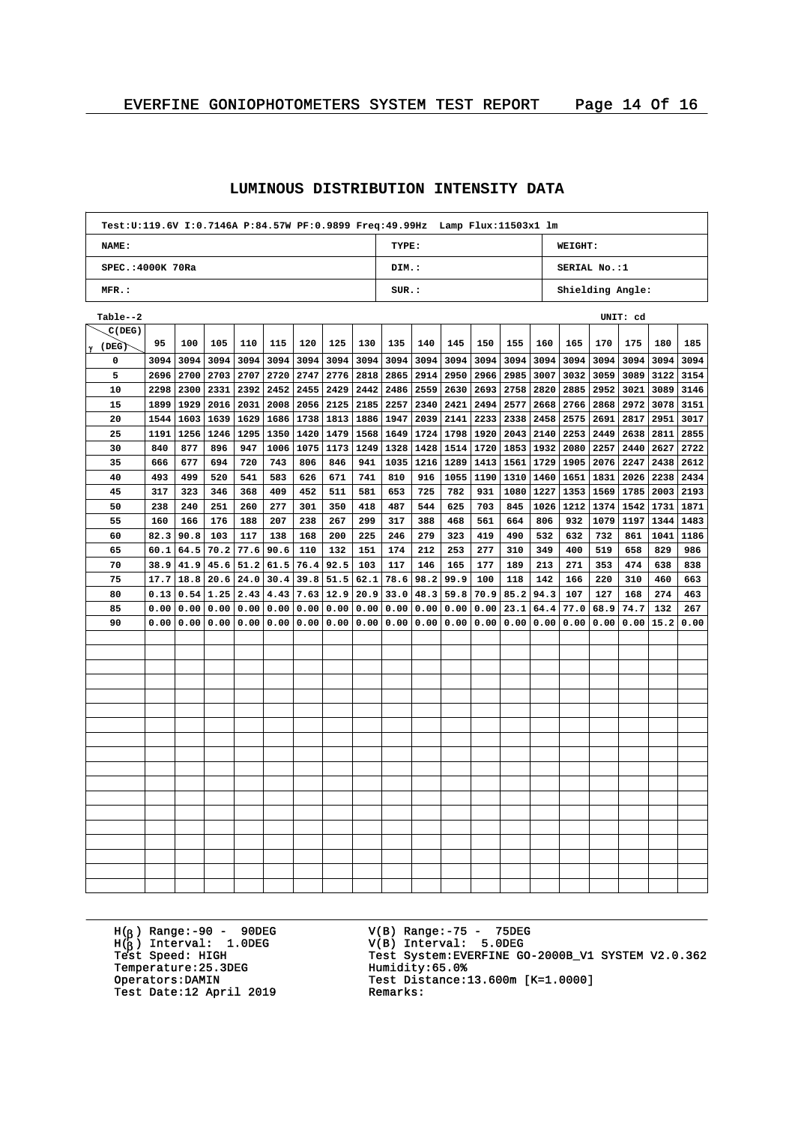| Test:U:119.6V I:0.7146A P:84.57W PF:0.9899 Freq:49.99Hz Lamp Flux:11503x1 lm |      |      |      |      |      |               |                           |      |                           |      |      |      |      |      |                    |                |      |      |      |  |
|------------------------------------------------------------------------------|------|------|------|------|------|---------------|---------------------------|------|---------------------------|------|------|------|------|------|--------------------|----------------|------|------|------|--|
| NAME:                                                                        |      |      |      |      |      |               |                           |      | TYPE:                     |      |      |      |      |      | WEIGHT:            |                |      |      |      |  |
| SPEC.: 4000K 70Ra                                                            |      |      |      |      |      |               |                           |      | DIM.:                     |      |      |      |      |      | SERIAL No.:1       |                |      |      |      |  |
| MFR.:                                                                        |      |      |      |      |      |               |                           |      | SUR.:<br>Shielding Angle: |      |      |      |      |      |                    |                |      |      |      |  |
| Table--2                                                                     |      |      |      |      |      |               |                           |      | UNIT: cd                  |      |      |      |      |      |                    |                |      |      |      |  |
| C(DEG)                                                                       |      |      |      |      |      |               |                           |      |                           |      |      |      |      |      |                    |                |      |      |      |  |
| $\gamma$ (DEG)                                                               | 95   | 100  | 105  | 110  | 115  | 120           | 125                       | 130  | 135                       | 140  | 145  | 150  | 155  | 160  | 165                | 170            | 175  | 180  | 185  |  |
| 0                                                                            | 3094 | 3094 | 3094 | 3094 | 3094 |               | $3094$ 3094               | 3094 | 3094                      | 3094 | 3094 | 3094 | 3094 | 3094 |                    | 3094 3094 3094 |      | 3094 | 3094 |  |
| 5                                                                            | 2696 | 2700 | 2703 | 2707 | 2720 |               | 2747 2776                 | 2818 | 2865                      | 2914 | 2950 | 2966 | 2985 |      | $3007$ 3032        | 3059           | 3089 | 3122 | 3154 |  |
| 10                                                                           | 2298 | 2300 | 2331 | 2392 | 2452 | 2455          | 2429                      | 2442 | 2486                      | 2559 | 2630 | 2693 | 2758 | 2820 | 2885               | 2952           | 3021 | 3089 | 3146 |  |
| 15                                                                           | 1899 | 1929 | 2016 | 2031 | 2008 |               | $2056$   2125             | 2185 | 2257                      | 2340 | 2421 | 2494 | 2577 |      | 2668 2766 2868     |                | 2972 | 3078 | 3151 |  |
| 20                                                                           | 1544 | 1603 | 1639 | 1629 |      |               | 1686   1738   1813   1886 |      | 1947                      | 2039 | 2141 | 2233 | 2338 |      | $2458$   2575      | 2691           | 2817 | 2951 | 3017 |  |
| 25                                                                           | 1191 | 1256 | 1246 | 1295 |      | $1350$   1420 | 1479                      | 1568 | 1649                      | 1724 | 1798 | 1920 | 2043 |      | 2140   2253   2449 |                | 2638 | 2811 | 2855 |  |
| 30                                                                           | 840  | 877  | 896  | 947  | 1006 | 1075          | 1173                      | 1249 | 1328                      | 1428 | 1514 | 1720 |      |      | 1853   1932   2080 | 2257           | 2440 | 2627 | 2722 |  |
| 35                                                                           | 666  | 677  | 694  | 720  | 743  | 806           | 846                       | 941  | 1035                      | 1216 | 1289 | 1413 | 1561 | 1729 | 1905               | 2076           | 2247 | 2438 | 2612 |  |
| 40                                                                           | 493  | 499  | 520  | 541  | 583  | 626           | 671                       | 741  | 810                       | 916  | 1055 | 1190 | 1310 |      | 1460 1651 1831     |                | 2026 | 2238 | 2434 |  |
| 45                                                                           | 317  | 323  | 346  | 368  | 409  | 452           | 511                       | 581  | 653                       | 725  | 782  | 931  | 1080 |      | 1227 1353          | 1569           | 1785 | 2003 | 2193 |  |
| 50                                                                           | 238  | 240  | 251  | 260  | 277  | 301           | 350                       | 418  | 487                       | 544  | 625  | 703  | 845  |      | 1026 1212          | 1374 1542      |      | 1731 | 1871 |  |
| 55                                                                           | 160  | 166  | 176  | 188  | 207  | 238           | 267                       | 299  | 317                       | 388  | 468  | 561  | 664  | 806  | 932                | 1079           | 1197 | 1344 | 1483 |  |
| 60                                                                           | 82.3 | 90.8 | 103  | 117  | 138  | 168           | 200                       | 225  | 246                       | 279  | 323  | 419  | 490  | 532  | 632                | 732            | 861  | 1041 | 1186 |  |
| 65                                                                           | 60.1 | 64.5 | 70.2 | 77.6 | 90.6 | 110           | 132                       | 151  | 174                       | 212  | 253  | 277  | 310  | 349  | 400                | 519            | 658  | 829  | 986  |  |
| 70                                                                           | 38.9 | 41.9 | 45.6 | 51.2 | 61.5 | 76.4          | 92.5                      | 103  | 117                       | 146  | 165  | 177  | 189  | 213  | 271                | 353            | 474  | 638  | 838  |  |
| 75                                                                           | 17.7 | 18.8 | 20.6 | 24.0 | 30.4 |               | $39.8$ 51.5               | 62.1 | 78.6                      | 98.2 | 99.9 | 100  | 118  | 142  | 166                | 220            | 310  | 460  | 663  |  |
| 80                                                                           | 0.13 | 0.54 | 1.25 | 2.43 | 4.43 | 7.63          | 12.9                      | 20.9 | 33.0                      | 48.3 | 59.8 | 70.9 | 85.2 | 94.3 | 107                | 127            | 168  | 274  | 463  |  |
| 85                                                                           | 0.00 | 0.00 | 0.00 | 0.00 | 0.00 |               | 0.00   0.00               | 0.00 | 0.00                      | 0.00 | 0.00 | 0.00 | 23.1 | 64.4 | 77.0               | 68.9           | 74.7 | 132  | 267  |  |
| 90                                                                           | 0.00 | 0.00 | 0.00 | 0.00 |      |               | 0.00   0.00   0.00   0.00 |      | 0.00                      | 0.00 | 0.00 | 0.00 |      |      | 0.00   0.00   0.00 | 0.00           | 0.00 | 15.2 | 0.00 |  |
|                                                                              |      |      |      |      |      |               |                           |      |                           |      |      |      |      |      |                    |                |      |      |      |  |
|                                                                              |      |      |      |      |      |               |                           |      |                           |      |      |      |      |      |                    |                |      |      |      |  |
|                                                                              |      |      |      |      |      |               |                           |      |                           |      |      |      |      |      |                    |                |      |      |      |  |
|                                                                              |      |      |      |      |      |               |                           |      |                           |      |      |      |      |      |                    |                |      |      |      |  |
|                                                                              |      |      |      |      |      |               |                           |      |                           |      |      |      |      |      |                    |                |      |      |      |  |
|                                                                              |      |      |      |      |      |               |                           |      |                           |      |      |      |      |      |                    |                |      |      |      |  |
|                                                                              |      |      |      |      |      |               |                           |      |                           |      |      |      |      |      |                    |                |      |      |      |  |
|                                                                              |      |      |      |      |      |               |                           |      |                           |      |      |      |      |      |                    |                |      |      |      |  |
|                                                                              |      |      |      |      |      |               |                           |      |                           |      |      |      |      |      |                    |                |      |      |      |  |
|                                                                              |      |      |      |      |      |               |                           |      |                           |      |      |      |      |      |                    |                |      |      |      |  |
|                                                                              |      |      |      |      |      |               |                           |      |                           |      |      |      |      |      |                    |                |      |      |      |  |
|                                                                              |      |      |      |      |      |               |                           |      |                           |      |      |      |      |      |                    |                |      |      |      |  |
|                                                                              |      |      |      |      |      |               |                           |      |                           |      |      |      |      |      |                    |                |      |      |      |  |
|                                                                              |      |      |      |      |      |               |                           |      |                           |      |      |      |      |      |                    |                |      |      |      |  |
|                                                                              |      |      |      |      |      |               |                           |      |                           |      |      |      |      |      |                    |                |      |      |      |  |
|                                                                              |      |      |      |      |      |               |                           |      |                           |      |      |      |      |      |                    |                |      |      |      |  |
|                                                                              |      |      |      |      |      |               |                           |      |                           |      |      |      |      |      |                    |                |      |      |      |  |
|                                                                              |      |      |      |      |      |               |                           |      |                           |      |      |      |      |      |                    |                |      |      |      |  |

### **LUMINOUS DISTRIBUTION INTENSITY DATA**

H( ) Range:-90 - 90DEG H( ) Interval: 1.0DEG Temperature: 25.3DEG<br>Operators: DAMIN Test Date:12 April 2019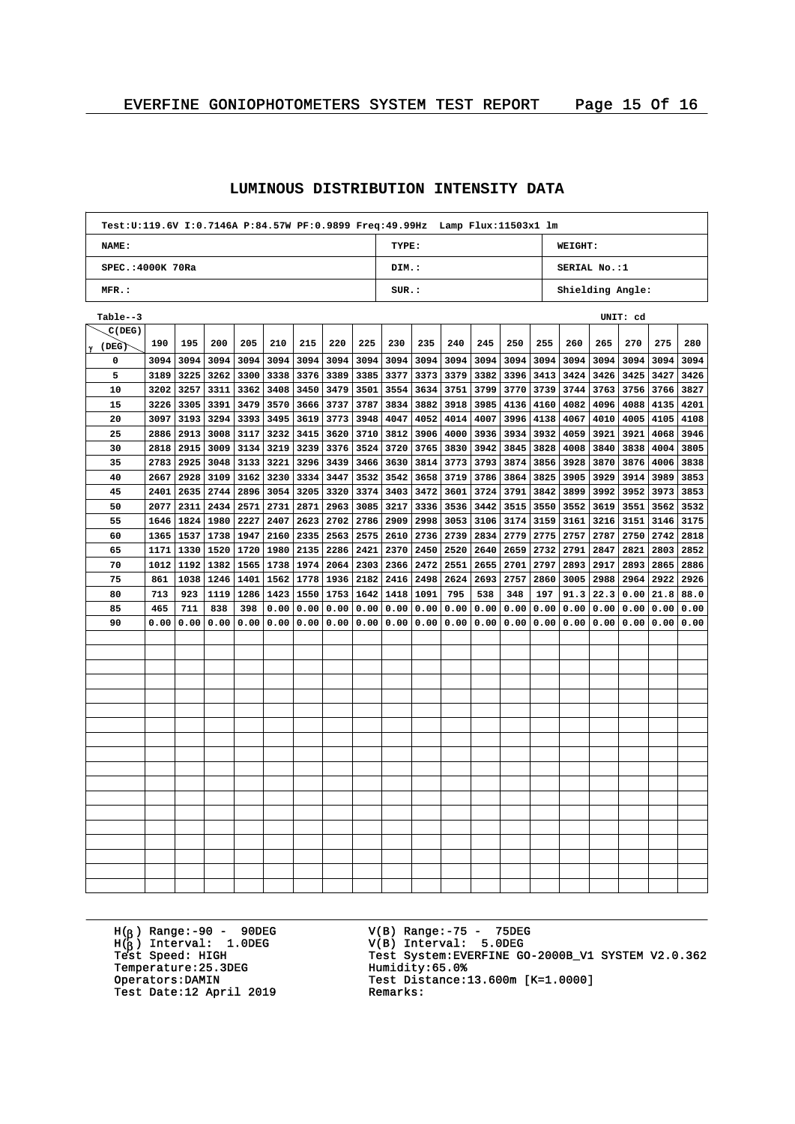|                   | Test:U:119.6V I:0.7146A P:84.57W PF:0.9899 Freq:49.99Hz Lamp Flux:11503x1 lm |      |      |      |      |      |                    |             |                           |      |      |      |      |      |                     |             |      |      |      |  |
|-------------------|------------------------------------------------------------------------------|------|------|------|------|------|--------------------|-------------|---------------------------|------|------|------|------|------|---------------------|-------------|------|------|------|--|
| <b>NAME:</b>      |                                                                              |      |      |      |      |      |                    |             | TYPE:                     |      |      |      |      |      | WEIGHT:             |             |      |      |      |  |
| SPEC.: 4000K 70Ra |                                                                              |      |      |      |      |      |                    |             | DIM.:                     |      |      |      |      |      | <b>SERIAL No.:1</b> |             |      |      |      |  |
| MFR.:             |                                                                              |      |      |      |      |      |                    |             | SUR.:<br>Shielding Angle: |      |      |      |      |      |                     |             |      |      |      |  |
| Table--3          |                                                                              |      |      |      |      |      |                    |             | UNIT: cd                  |      |      |      |      |      |                     |             |      |      |      |  |
| C(DEG)            |                                                                              |      |      |      |      |      |                    |             |                           |      |      |      |      |      |                     |             |      |      |      |  |
| $\gamma$ (DEG)    | 190                                                                          | 195  | 200  | 205  | 210  | 215  | 220                | 225         | 230                       | 235  | 240  | 245  | 250  | 255  | 260                 | 265         | 270  | 275  | 280  |  |
| 0                 | 3094                                                                         | 3094 | 3094 | 3094 | 3094 |      | 3094 3094          | 3094        | 3094                      | 3094 | 3094 | 3094 | 3094 | 3094 | 3094                | 3094        | 3094 | 3094 | 3094 |  |
| 5                 | 3189                                                                         | 3225 | 3262 | 3300 | 3338 | 3376 | 3389               | 3385        | 3377                      | 3373 | 3379 | 3382 | 3396 |      | 3413 3424           | 3426        | 3425 | 3427 | 3426 |  |
| 10                | 3202                                                                         | 3257 | 3311 | 3362 | 3408 | 3450 | 3479               | 3501        | 3554                      | 3634 | 3751 | 3799 | 3770 | 3739 | 3744                | 3763        | 3756 | 3766 | 3827 |  |
| 15                | 3226                                                                         | 3305 | 3391 | 3479 | 3570 | 3666 | 3737               | 3787        | 3834                      | 3882 | 3918 | 3985 | 4136 | 4160 | 4082                | 4096        | 4088 | 4135 | 4201 |  |
| 20                | 3097                                                                         | 3193 | 3294 | 3393 | 3495 | 3619 | 3773               | 3948        | 4047                      | 4052 | 4014 | 4007 | 3996 | 4138 | 4067                | 4010        | 4005 | 4105 | 4108 |  |
| 25                | 2886                                                                         | 2913 | 3008 | 3117 | 3232 | 3415 | 3620               | 3710        | 3812                      | 3906 | 4000 | 3936 | 3934 | 3932 | 4059                | 3921        | 3921 | 4068 | 3946 |  |
| 30                | 2818                                                                         | 2915 | 3009 | 3134 | 3219 | 3239 | 3376               | 3524        | 3720                      | 3765 | 3830 | 3942 | 3845 | 3828 | 4008                | 3840        | 3838 | 4004 | 3805 |  |
| 35                | 2783                                                                         | 2925 | 3048 | 3133 | 3221 | 3296 | 3439               | 3466        | 3630                      | 3814 | 3773 | 3793 | 3874 | 3856 | 3928                | 3870        | 3876 | 4006 | 3838 |  |
| 40                | 2667                                                                         | 2928 | 3109 | 3162 | 3230 | 3334 | 3447               | 3532        | 3542                      | 3658 | 3719 | 3786 | 3864 |      | 3825 3905 3929      |             | 3914 | 3989 | 3853 |  |
| 45                | 2401                                                                         | 2635 | 2744 | 2896 | 3054 |      | 3205 3320          | 3374        | 3403                      | 3472 | 3601 | 3724 | 3791 |      | 3842 3899           | 3992        | 3952 | 3973 | 3853 |  |
| 50                | 2077                                                                         | 2311 | 2434 | 2571 | 2731 | 2871 | 2963               | 3085        | 3217                      | 3336 | 3536 | 3442 | 3515 | 3550 | 3552                | 3619        | 3551 | 3562 | 3532 |  |
| 55                | 1646                                                                         | 1824 | 1980 | 2227 | 2407 | 2623 | 2702               | 2786        | 2909                      | 2998 | 3053 | 3106 | 3174 | 3159 | 3161                | 3216        | 3151 | 3146 | 3175 |  |
| 60                | 1365                                                                         | 1537 | 1738 | 1947 | 2160 | 2335 | 2563               | 2575        | 2610                      | 2736 | 2739 | 2834 | 2779 |      | 2775 2757           | 2787        | 2750 | 2742 | 2818 |  |
| 65                | 1171                                                                         | 1330 | 1520 | 1720 | 1980 |      | 2135 2286          | 2421        | 2370                      | 2450 | 2520 | 2640 | 2659 | 2732 | 2791                | 2847        | 2821 | 2803 | 2852 |  |
| 70                | 1012                                                                         | 1192 | 1382 | 1565 | 1738 | 1974 | 2064               | 2303        | 2366                      | 2472 | 2551 | 2655 | 2701 | 2797 | 2893                | 2917        | 2893 | 2865 | 2886 |  |
| 75                | 861                                                                          | 1038 | 1246 | 1401 | 1562 | 1778 | 1936               | 2182        | 2416                      | 2498 | 2624 | 2693 | 2757 | 2860 | 3005                | 2988        | 2964 | 2922 | 2926 |  |
| 80                | 713                                                                          | 923  | 1119 | 1286 | 1423 | 1550 |                    | 1753   1642 | 1418                      | 1091 | 795  | 538  | 348  | 197  |                     | $91.3$ 22.3 | 0.00 | 21.8 | 88.0 |  |
| 85                | 465                                                                          | 711  | 838  | 398  | 0.00 | 0.00 | 0.00               | 0.00        | 0.00                      | 0.00 | 0.00 | 0.00 | 0.00 | 0.00 | 0.00                | 0.00        | 0.00 | 0.00 | 0.00 |  |
| 90                | 0.00                                                                         | 0.00 | 0.00 | 0.00 | 0.00 |      | 0.00   0.00   0.00 |             | 0.00                      | 0.00 | 0.00 | 0.00 | 0.00 |      | 0.00 0.00           | 0.00        | 0.00 | 0.00 | 0.00 |  |
|                   |                                                                              |      |      |      |      |      |                    |             |                           |      |      |      |      |      |                     |             |      |      |      |  |
|                   |                                                                              |      |      |      |      |      |                    |             |                           |      |      |      |      |      |                     |             |      |      |      |  |
|                   |                                                                              |      |      |      |      |      |                    |             |                           |      |      |      |      |      |                     |             |      |      |      |  |
|                   |                                                                              |      |      |      |      |      |                    |             |                           |      |      |      |      |      |                     |             |      |      |      |  |
|                   |                                                                              |      |      |      |      |      |                    |             |                           |      |      |      |      |      |                     |             |      |      |      |  |
|                   |                                                                              |      |      |      |      |      |                    |             |                           |      |      |      |      |      |                     |             |      |      |      |  |
|                   |                                                                              |      |      |      |      |      |                    |             |                           |      |      |      |      |      |                     |             |      |      |      |  |
|                   |                                                                              |      |      |      |      |      |                    |             |                           |      |      |      |      |      |                     |             |      |      |      |  |
|                   |                                                                              |      |      |      |      |      |                    |             |                           |      |      |      |      |      |                     |             |      |      |      |  |
|                   |                                                                              |      |      |      |      |      |                    |             |                           |      |      |      |      |      |                     |             |      |      |      |  |
|                   |                                                                              |      |      |      |      |      |                    |             |                           |      |      |      |      |      |                     |             |      |      |      |  |
|                   |                                                                              |      |      |      |      |      |                    |             |                           |      |      |      |      |      |                     |             |      |      |      |  |
|                   |                                                                              |      |      |      |      |      |                    |             |                           |      |      |      |      |      |                     |             |      |      |      |  |
|                   |                                                                              |      |      |      |      |      |                    |             |                           |      |      |      |      |      |                     |             |      |      |      |  |
|                   |                                                                              |      |      |      |      |      |                    |             |                           |      |      |      |      |      |                     |             |      |      |      |  |
|                   |                                                                              |      |      |      |      |      |                    |             |                           |      |      |      |      |      |                     |             |      |      |      |  |
|                   |                                                                              |      |      |      |      |      |                    |             |                           |      |      |      |      |      |                     |             |      |      |      |  |
|                   |                                                                              |      |      |      |      |      |                    |             |                           |      |      |      |      |      |                     |             |      |      |      |  |
|                   |                                                                              |      |      |      |      |      |                    |             |                           |      |      |      |      |      |                     |             |      |      |      |  |

#### **LUMINOUS DISTRIBUTION INTENSITY DATA**

H( ) Range:-90 - 90DEG H( ) Interval: 1.0DEG Temperature: 25.3DEG<br>Operators: DAMIN Test Date:12 April 2019

V(B) Range:-75 - 75DEG V(B) Interval: 5.0DEG <sup>b</sup> Test System: EVERFINE GO-2000B\_V1 SYSTEM V2.0.362 Processe.org<br>Humidity:65.0%<br>Test Distance:13.600m [K=1.0000]<br>Remarks: